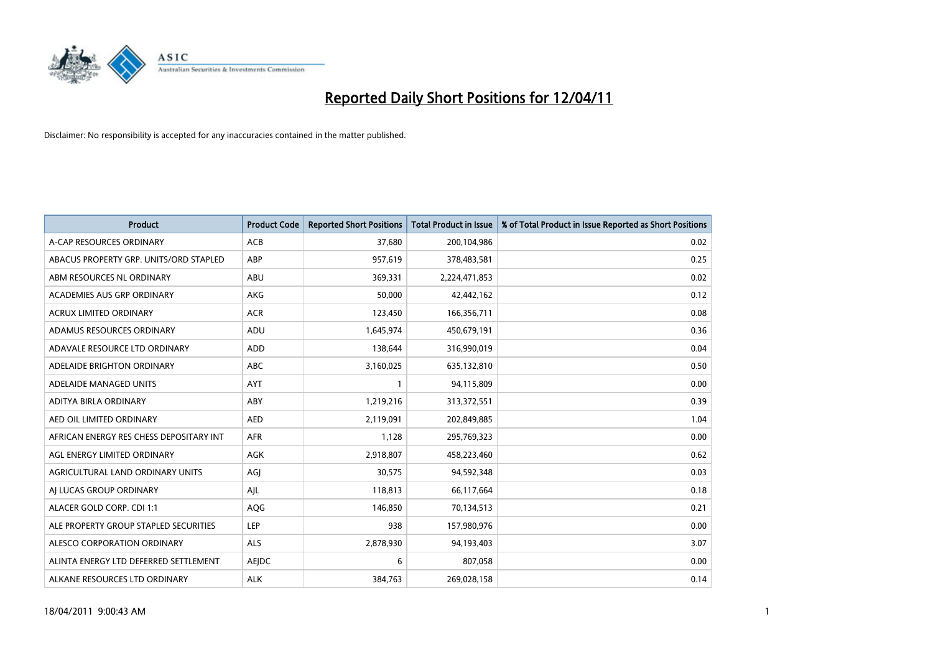

| Product                                 | <b>Product Code</b> | <b>Reported Short Positions</b> | <b>Total Product in Issue</b> | % of Total Product in Issue Reported as Short Positions |
|-----------------------------------------|---------------------|---------------------------------|-------------------------------|---------------------------------------------------------|
| A-CAP RESOURCES ORDINARY                | <b>ACB</b>          | 37,680                          | 200,104,986                   | 0.02                                                    |
| ABACUS PROPERTY GRP. UNITS/ORD STAPLED  | ABP                 | 957,619                         | 378,483,581                   | 0.25                                                    |
| ABM RESOURCES NL ORDINARY               | ABU                 | 369,331                         | 2,224,471,853                 | 0.02                                                    |
| ACADEMIES AUS GRP ORDINARY              | AKG                 | 50,000                          | 42,442,162                    | 0.12                                                    |
| <b>ACRUX LIMITED ORDINARY</b>           | <b>ACR</b>          | 123,450                         | 166,356,711                   | 0.08                                                    |
| ADAMUS RESOURCES ORDINARY               | ADU                 | 1,645,974                       | 450,679,191                   | 0.36                                                    |
| ADAVALE RESOURCE LTD ORDINARY           | <b>ADD</b>          | 138.644                         | 316,990,019                   | 0.04                                                    |
| ADELAIDE BRIGHTON ORDINARY              | <b>ABC</b>          | 3,160,025                       | 635,132,810                   | 0.50                                                    |
| ADELAIDE MANAGED UNITS                  | <b>AYT</b>          | 1                               | 94,115,809                    | 0.00                                                    |
| ADITYA BIRLA ORDINARY                   | ABY                 | 1,219,216                       | 313,372,551                   | 0.39                                                    |
| AED OIL LIMITED ORDINARY                | <b>AED</b>          | 2,119,091                       | 202,849,885                   | 1.04                                                    |
| AFRICAN ENERGY RES CHESS DEPOSITARY INT | <b>AFR</b>          | 1,128                           | 295,769,323                   | 0.00                                                    |
| AGL ENERGY LIMITED ORDINARY             | <b>AGK</b>          | 2,918,807                       | 458,223,460                   | 0.62                                                    |
| AGRICULTURAL LAND ORDINARY UNITS        | AGJ                 | 30,575                          | 94,592,348                    | 0.03                                                    |
| AI LUCAS GROUP ORDINARY                 | AJL                 | 118,813                         | 66,117,664                    | 0.18                                                    |
| ALACER GOLD CORP. CDI 1:1               | AQG                 | 146,850                         | 70,134,513                    | 0.21                                                    |
| ALE PROPERTY GROUP STAPLED SECURITIES   | LEP                 | 938                             | 157,980,976                   | 0.00                                                    |
| ALESCO CORPORATION ORDINARY             | <b>ALS</b>          | 2,878,930                       | 94,193,403                    | 3.07                                                    |
| ALINTA ENERGY LTD DEFERRED SETTLEMENT   | AEJDC               | 6                               | 807,058                       | 0.00                                                    |
| ALKANE RESOURCES LTD ORDINARY           | <b>ALK</b>          | 384,763                         | 269,028,158                   | 0.14                                                    |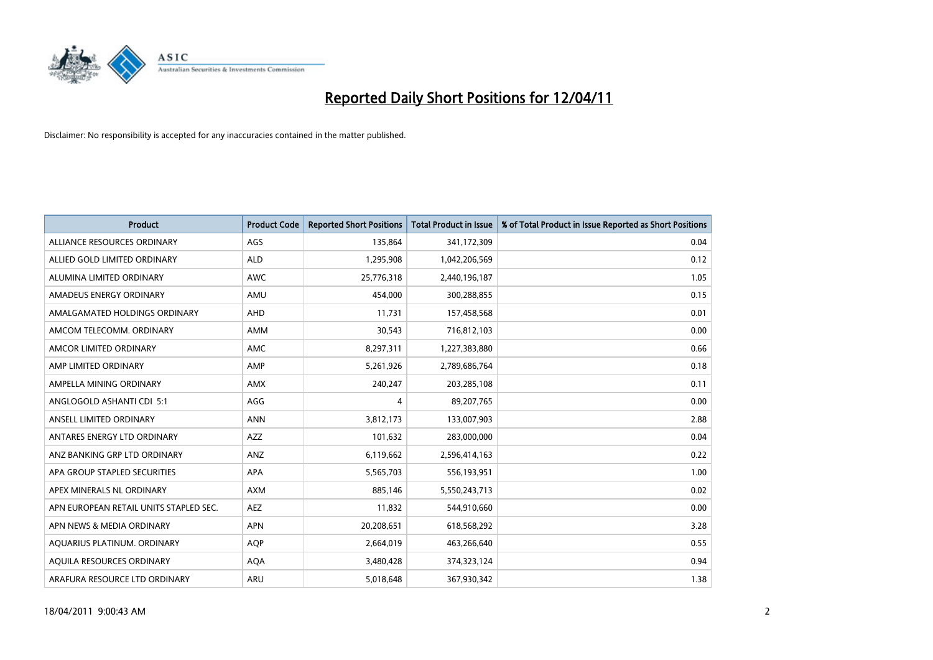

| <b>Product</b>                         | <b>Product Code</b> | <b>Reported Short Positions</b> | Total Product in Issue | % of Total Product in Issue Reported as Short Positions |
|----------------------------------------|---------------------|---------------------------------|------------------------|---------------------------------------------------------|
| ALLIANCE RESOURCES ORDINARY            | AGS                 | 135,864                         | 341,172,309            | 0.04                                                    |
| ALLIED GOLD LIMITED ORDINARY           | <b>ALD</b>          | 1,295,908                       | 1,042,206,569          | 0.12                                                    |
| ALUMINA LIMITED ORDINARY               | <b>AWC</b>          | 25,776,318                      | 2,440,196,187          | 1.05                                                    |
| AMADEUS ENERGY ORDINARY                | AMU                 | 454,000                         | 300,288,855            | 0.15                                                    |
| AMALGAMATED HOLDINGS ORDINARY          | <b>AHD</b>          | 11,731                          | 157,458,568            | 0.01                                                    |
| AMCOM TELECOMM, ORDINARY               | <b>AMM</b>          | 30,543                          | 716,812,103            | 0.00                                                    |
| AMCOR LIMITED ORDINARY                 | <b>AMC</b>          | 8,297,311                       | 1,227,383,880          | 0.66                                                    |
| AMP LIMITED ORDINARY                   | AMP                 | 5,261,926                       | 2,789,686,764          | 0.18                                                    |
| AMPELLA MINING ORDINARY                | <b>AMX</b>          | 240,247                         | 203,285,108            | 0.11                                                    |
| ANGLOGOLD ASHANTI CDI 5:1              | AGG                 | 4                               | 89,207,765             | 0.00                                                    |
| ANSELL LIMITED ORDINARY                | <b>ANN</b>          | 3,812,173                       | 133,007,903            | 2.88                                                    |
| ANTARES ENERGY LTD ORDINARY            | <b>AZZ</b>          | 101,632                         | 283,000,000            | 0.04                                                    |
| ANZ BANKING GRP LTD ORDINARY           | ANZ                 | 6,119,662                       | 2,596,414,163          | 0.22                                                    |
| APA GROUP STAPLED SECURITIES           | <b>APA</b>          | 5,565,703                       | 556,193,951            | 1.00                                                    |
| APEX MINERALS NL ORDINARY              | <b>AXM</b>          | 885,146                         | 5,550,243,713          | 0.02                                                    |
| APN EUROPEAN RETAIL UNITS STAPLED SEC. | <b>AEZ</b>          | 11,832                          | 544,910,660            | 0.00                                                    |
| APN NEWS & MEDIA ORDINARY              | <b>APN</b>          | 20,208,651                      | 618,568,292            | 3.28                                                    |
| AQUARIUS PLATINUM. ORDINARY            | <b>AOP</b>          | 2,664,019                       | 463,266,640            | 0.55                                                    |
| AQUILA RESOURCES ORDINARY              | <b>AQA</b>          | 3,480,428                       | 374,323,124            | 0.94                                                    |
| ARAFURA RESOURCE LTD ORDINARY          | <b>ARU</b>          | 5,018,648                       | 367,930,342            | 1.38                                                    |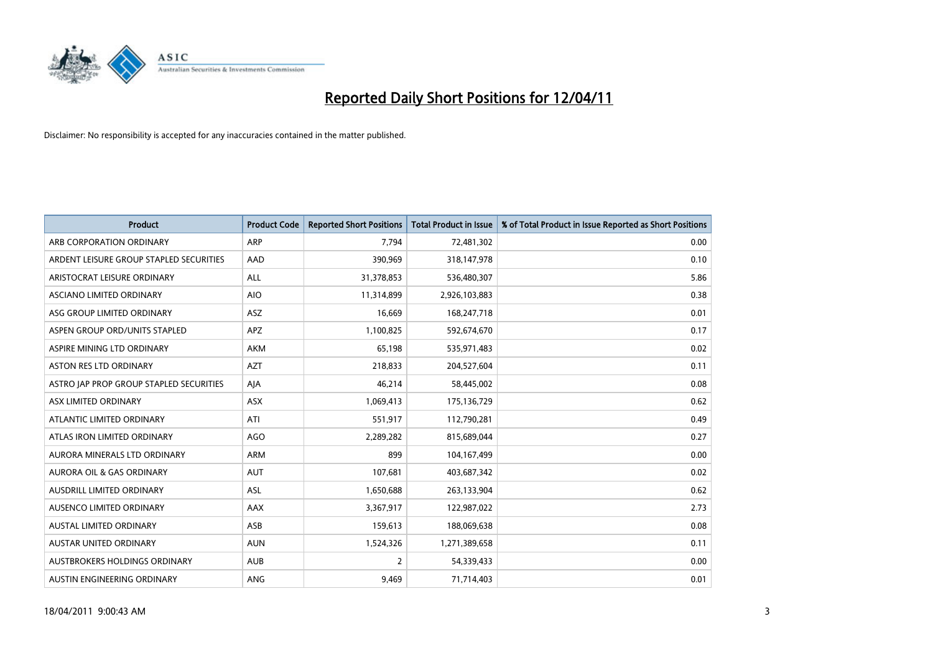

| <b>Product</b>                          | <b>Product Code</b> | <b>Reported Short Positions</b> | <b>Total Product in Issue</b> | % of Total Product in Issue Reported as Short Positions |
|-----------------------------------------|---------------------|---------------------------------|-------------------------------|---------------------------------------------------------|
| ARB CORPORATION ORDINARY                | <b>ARP</b>          | 7,794                           | 72,481,302                    | 0.00                                                    |
| ARDENT LEISURE GROUP STAPLED SECURITIES | AAD                 | 390,969                         | 318,147,978                   | 0.10                                                    |
| ARISTOCRAT LEISURE ORDINARY             | ALL                 | 31,378,853                      | 536,480,307                   | 5.86                                                    |
| ASCIANO LIMITED ORDINARY                | <b>AIO</b>          | 11,314,899                      | 2,926,103,883                 | 0.38                                                    |
| ASG GROUP LIMITED ORDINARY              | <b>ASZ</b>          | 16,669                          | 168,247,718                   | 0.01                                                    |
| ASPEN GROUP ORD/UNITS STAPLED           | <b>APZ</b>          | 1,100,825                       | 592,674,670                   | 0.17                                                    |
| ASPIRE MINING LTD ORDINARY              | <b>AKM</b>          | 65,198                          | 535,971,483                   | 0.02                                                    |
| ASTON RES LTD ORDINARY                  | <b>AZT</b>          | 218,833                         | 204,527,604                   | 0.11                                                    |
| ASTRO JAP PROP GROUP STAPLED SECURITIES | AJA                 | 46,214                          | 58,445,002                    | 0.08                                                    |
| ASX LIMITED ORDINARY                    | ASX                 | 1,069,413                       | 175,136,729                   | 0.62                                                    |
| ATLANTIC LIMITED ORDINARY               | ATI                 | 551,917                         | 112,790,281                   | 0.49                                                    |
| ATLAS IRON LIMITED ORDINARY             | <b>AGO</b>          | 2,289,282                       | 815,689,044                   | 0.27                                                    |
| AURORA MINERALS LTD ORDINARY            | <b>ARM</b>          | 899                             | 104,167,499                   | 0.00                                                    |
| <b>AURORA OIL &amp; GAS ORDINARY</b>    | <b>AUT</b>          | 107,681                         | 403,687,342                   | 0.02                                                    |
| AUSDRILL LIMITED ORDINARY               | ASL                 | 1,650,688                       | 263,133,904                   | 0.62                                                    |
| AUSENCO LIMITED ORDINARY                | AAX                 | 3,367,917                       | 122,987,022                   | 2.73                                                    |
| AUSTAL LIMITED ORDINARY                 | ASB                 | 159,613                         | 188,069,638                   | 0.08                                                    |
| AUSTAR UNITED ORDINARY                  | <b>AUN</b>          | 1,524,326                       | 1,271,389,658                 | 0.11                                                    |
| AUSTBROKERS HOLDINGS ORDINARY           | <b>AUB</b>          | 2                               | 54,339,433                    | 0.00                                                    |
| AUSTIN ENGINEERING ORDINARY             | <b>ANG</b>          | 9,469                           | 71,714,403                    | 0.01                                                    |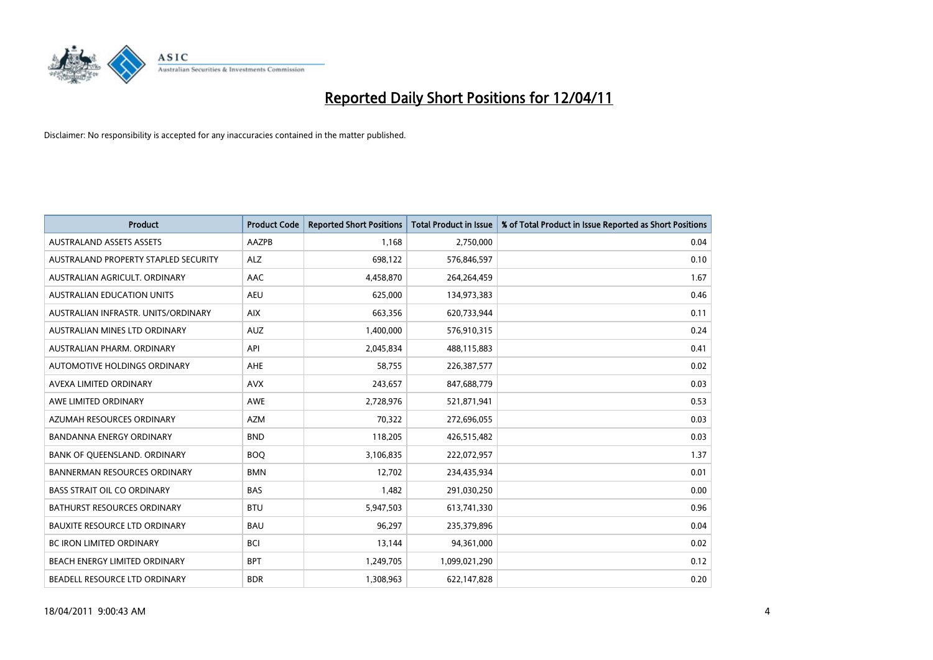

| <b>Product</b>                       | <b>Product Code</b> | <b>Reported Short Positions</b> | Total Product in Issue | % of Total Product in Issue Reported as Short Positions |
|--------------------------------------|---------------------|---------------------------------|------------------------|---------------------------------------------------------|
| <b>AUSTRALAND ASSETS ASSETS</b>      | <b>AAZPB</b>        | 1,168                           | 2,750,000              | 0.04                                                    |
| AUSTRALAND PROPERTY STAPLED SECURITY | <b>ALZ</b>          | 698,122                         | 576,846,597            | 0.10                                                    |
| AUSTRALIAN AGRICULT, ORDINARY        | AAC                 | 4,458,870                       | 264,264,459            | 1.67                                                    |
| AUSTRALIAN EDUCATION UNITS           | <b>AEU</b>          | 625,000                         | 134,973,383            | 0.46                                                    |
| AUSTRALIAN INFRASTR, UNITS/ORDINARY  | <b>AIX</b>          | 663,356                         | 620,733,944            | 0.11                                                    |
| AUSTRALIAN MINES LTD ORDINARY        | <b>AUZ</b>          | 1,400,000                       | 576,910,315            | 0.24                                                    |
| AUSTRALIAN PHARM, ORDINARY           | API                 | 2,045,834                       | 488,115,883            | 0.41                                                    |
| <b>AUTOMOTIVE HOLDINGS ORDINARY</b>  | <b>AHE</b>          | 58,755                          | 226,387,577            | 0.02                                                    |
| AVEXA LIMITED ORDINARY               | <b>AVX</b>          | 243,657                         | 847,688,779            | 0.03                                                    |
| AWE LIMITED ORDINARY                 | <b>AWE</b>          | 2,728,976                       | 521,871,941            | 0.53                                                    |
| AZUMAH RESOURCES ORDINARY            | <b>AZM</b>          | 70,322                          | 272,696,055            | 0.03                                                    |
| <b>BANDANNA ENERGY ORDINARY</b>      | <b>BND</b>          | 118,205                         | 426,515,482            | 0.03                                                    |
| BANK OF QUEENSLAND. ORDINARY         | <b>BOQ</b>          | 3,106,835                       | 222,072,957            | 1.37                                                    |
| <b>BANNERMAN RESOURCES ORDINARY</b>  | <b>BMN</b>          | 12,702                          | 234,435,934            | 0.01                                                    |
| <b>BASS STRAIT OIL CO ORDINARY</b>   | <b>BAS</b>          | 1,482                           | 291,030,250            | 0.00                                                    |
| BATHURST RESOURCES ORDINARY          | <b>BTU</b>          | 5,947,503                       | 613,741,330            | 0.96                                                    |
| <b>BAUXITE RESOURCE LTD ORDINARY</b> | <b>BAU</b>          | 96,297                          | 235,379,896            | 0.04                                                    |
| <b>BC IRON LIMITED ORDINARY</b>      | <b>BCI</b>          | 13,144                          | 94,361,000             | 0.02                                                    |
| <b>BEACH ENERGY LIMITED ORDINARY</b> | <b>BPT</b>          | 1,249,705                       | 1,099,021,290          | 0.12                                                    |
| BEADELL RESOURCE LTD ORDINARY        | <b>BDR</b>          | 1,308,963                       | 622,147,828            | 0.20                                                    |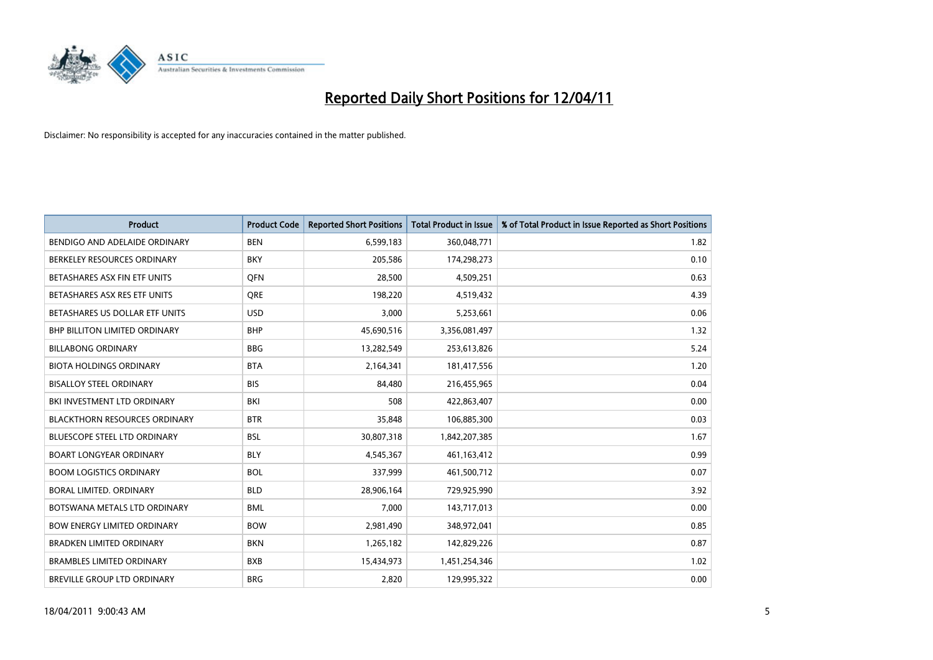

| <b>Product</b>                       | <b>Product Code</b> | <b>Reported Short Positions</b> | <b>Total Product in Issue</b> | % of Total Product in Issue Reported as Short Positions |
|--------------------------------------|---------------------|---------------------------------|-------------------------------|---------------------------------------------------------|
| BENDIGO AND ADELAIDE ORDINARY        | <b>BEN</b>          | 6,599,183                       | 360,048,771                   | 1.82                                                    |
| BERKELEY RESOURCES ORDINARY          | <b>BKY</b>          | 205,586                         | 174,298,273                   | 0.10                                                    |
| BETASHARES ASX FIN ETF UNITS         | <b>OFN</b>          | 28,500                          | 4,509,251                     | 0.63                                                    |
| BETASHARES ASX RES ETF UNITS         | <b>ORE</b>          | 198,220                         | 4,519,432                     | 4.39                                                    |
| BETASHARES US DOLLAR ETF UNITS       | <b>USD</b>          | 3,000                           | 5,253,661                     | 0.06                                                    |
| <b>BHP BILLITON LIMITED ORDINARY</b> | <b>BHP</b>          | 45,690,516                      | 3,356,081,497                 | 1.32                                                    |
| <b>BILLABONG ORDINARY</b>            | <b>BBG</b>          | 13,282,549                      | 253,613,826                   | 5.24                                                    |
| <b>BIOTA HOLDINGS ORDINARY</b>       | <b>BTA</b>          | 2,164,341                       | 181,417,556                   | 1.20                                                    |
| <b>BISALLOY STEEL ORDINARY</b>       | <b>BIS</b>          | 84,480                          | 216,455,965                   | 0.04                                                    |
| BKI INVESTMENT LTD ORDINARY          | BKI                 | 508                             | 422,863,407                   | 0.00                                                    |
| <b>BLACKTHORN RESOURCES ORDINARY</b> | <b>BTR</b>          | 35,848                          | 106,885,300                   | 0.03                                                    |
| <b>BLUESCOPE STEEL LTD ORDINARY</b>  | <b>BSL</b>          | 30,807,318                      | 1,842,207,385                 | 1.67                                                    |
| <b>BOART LONGYEAR ORDINARY</b>       | <b>BLY</b>          | 4,545,367                       | 461,163,412                   | 0.99                                                    |
| <b>BOOM LOGISTICS ORDINARY</b>       | <b>BOL</b>          | 337,999                         | 461,500,712                   | 0.07                                                    |
| <b>BORAL LIMITED, ORDINARY</b>       | <b>BLD</b>          | 28,906,164                      | 729,925,990                   | 3.92                                                    |
| BOTSWANA METALS LTD ORDINARY         | <b>BML</b>          | 7,000                           | 143,717,013                   | 0.00                                                    |
| <b>BOW ENERGY LIMITED ORDINARY</b>   | <b>BOW</b>          | 2,981,490                       | 348,972,041                   | 0.85                                                    |
| <b>BRADKEN LIMITED ORDINARY</b>      | <b>BKN</b>          | 1,265,182                       | 142,829,226                   | 0.87                                                    |
| <b>BRAMBLES LIMITED ORDINARY</b>     | <b>BXB</b>          | 15,434,973                      | 1,451,254,346                 | 1.02                                                    |
| <b>BREVILLE GROUP LTD ORDINARY</b>   | <b>BRG</b>          | 2,820                           | 129,995,322                   | 0.00                                                    |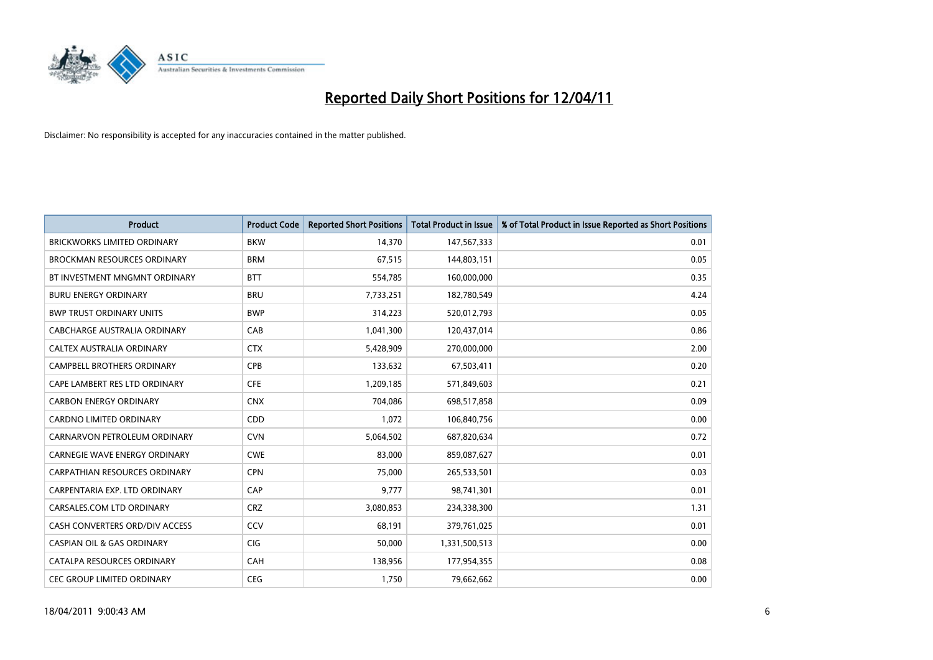

| Product                               | <b>Product Code</b> | <b>Reported Short Positions</b> | <b>Total Product in Issue</b> | % of Total Product in Issue Reported as Short Positions |
|---------------------------------------|---------------------|---------------------------------|-------------------------------|---------------------------------------------------------|
| <b>BRICKWORKS LIMITED ORDINARY</b>    | <b>BKW</b>          | 14,370                          | 147,567,333                   | 0.01                                                    |
| <b>BROCKMAN RESOURCES ORDINARY</b>    | <b>BRM</b>          | 67,515                          | 144,803,151                   | 0.05                                                    |
| BT INVESTMENT MNGMNT ORDINARY         | <b>BTT</b>          | 554,785                         | 160,000,000                   | 0.35                                                    |
| <b>BURU ENERGY ORDINARY</b>           | <b>BRU</b>          | 7,733,251                       | 182,780,549                   | 4.24                                                    |
| <b>BWP TRUST ORDINARY UNITS</b>       | <b>BWP</b>          | 314,223                         | 520,012,793                   | 0.05                                                    |
| CABCHARGE AUSTRALIA ORDINARY          | CAB                 | 1,041,300                       | 120,437,014                   | 0.86                                                    |
| CALTEX AUSTRALIA ORDINARY             | <b>CTX</b>          | 5,428,909                       | 270,000,000                   | 2.00                                                    |
| <b>CAMPBELL BROTHERS ORDINARY</b>     | CPB                 | 133,632                         | 67,503,411                    | 0.20                                                    |
| CAPE LAMBERT RES LTD ORDINARY         | <b>CFE</b>          | 1,209,185                       | 571,849,603                   | 0.21                                                    |
| <b>CARBON ENERGY ORDINARY</b>         | <b>CNX</b>          | 704.086                         | 698,517,858                   | 0.09                                                    |
| <b>CARDNO LIMITED ORDINARY</b>        | CDD                 | 1,072                           | 106,840,756                   | 0.00                                                    |
| CARNARVON PETROLEUM ORDINARY          | <b>CVN</b>          | 5,064,502                       | 687,820,634                   | 0.72                                                    |
| <b>CARNEGIE WAVE ENERGY ORDINARY</b>  | <b>CWE</b>          | 83,000                          | 859,087,627                   | 0.01                                                    |
| <b>CARPATHIAN RESOURCES ORDINARY</b>  | <b>CPN</b>          | 75,000                          | 265,533,501                   | 0.03                                                    |
| CARPENTARIA EXP. LTD ORDINARY         | CAP                 | 9,777                           | 98,741,301                    | 0.01                                                    |
| CARSALES.COM LTD ORDINARY             | <b>CRZ</b>          | 3,080,853                       | 234,338,300                   | 1.31                                                    |
| CASH CONVERTERS ORD/DIV ACCESS        | CCV                 | 68,191                          | 379,761,025                   | 0.01                                                    |
| <b>CASPIAN OIL &amp; GAS ORDINARY</b> | <b>CIG</b>          | 50,000                          | 1,331,500,513                 | 0.00                                                    |
| CATALPA RESOURCES ORDINARY            | CAH                 | 138,956                         | 177,954,355                   | 0.08                                                    |
| <b>CEC GROUP LIMITED ORDINARY</b>     | <b>CEG</b>          | 1,750                           | 79,662,662                    | 0.00                                                    |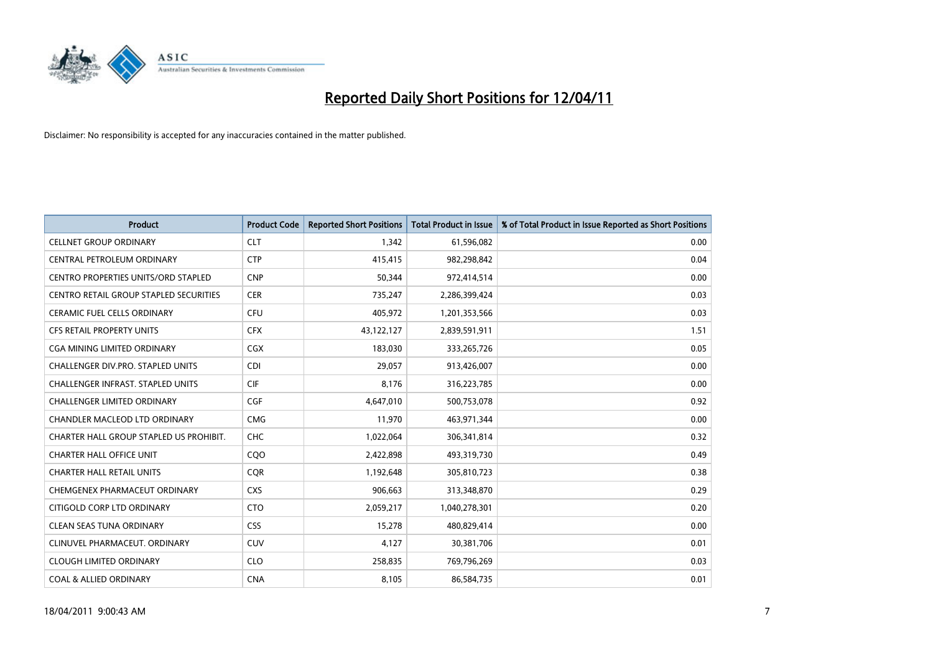

| <b>Product</b>                             | <b>Product Code</b> | <b>Reported Short Positions</b> | Total Product in Issue | % of Total Product in Issue Reported as Short Positions |
|--------------------------------------------|---------------------|---------------------------------|------------------------|---------------------------------------------------------|
| <b>CELLNET GROUP ORDINARY</b>              | <b>CLT</b>          | 1,342                           | 61,596,082             | 0.00                                                    |
| CENTRAL PETROLEUM ORDINARY                 | <b>CTP</b>          | 415,415                         | 982,298,842            | 0.04                                                    |
| <b>CENTRO PROPERTIES UNITS/ORD STAPLED</b> | <b>CNP</b>          | 50,344                          | 972,414,514            | 0.00                                                    |
| CENTRO RETAIL GROUP STAPLED SECURITIES     | <b>CER</b>          | 735,247                         | 2,286,399,424          | 0.03                                                    |
| <b>CERAMIC FUEL CELLS ORDINARY</b>         | <b>CFU</b>          | 405,972                         | 1,201,353,566          | 0.03                                                    |
| <b>CFS RETAIL PROPERTY UNITS</b>           | <b>CFX</b>          | 43,122,127                      | 2,839,591,911          | 1.51                                                    |
| CGA MINING LIMITED ORDINARY                | <b>CGX</b>          | 183,030                         | 333,265,726            | 0.05                                                    |
| <b>CHALLENGER DIV.PRO. STAPLED UNITS</b>   | <b>CDI</b>          | 29,057                          | 913,426,007            | 0.00                                                    |
| CHALLENGER INFRAST. STAPLED UNITS          | <b>CIF</b>          | 8,176                           | 316,223,785            | 0.00                                                    |
| <b>CHALLENGER LIMITED ORDINARY</b>         | <b>CGF</b>          | 4,647,010                       | 500,753,078            | 0.92                                                    |
| CHANDLER MACLEOD LTD ORDINARY              | <b>CMG</b>          | 11,970                          | 463,971,344            | 0.00                                                    |
| CHARTER HALL GROUP STAPLED US PROHIBIT.    | <b>CHC</b>          | 1,022,064                       | 306,341,814            | 0.32                                                    |
| <b>CHARTER HALL OFFICE UNIT</b>            | CQ <sub>O</sub>     | 2,422,898                       | 493,319,730            | 0.49                                                    |
| <b>CHARTER HALL RETAIL UNITS</b>           | <b>COR</b>          | 1,192,648                       | 305,810,723            | 0.38                                                    |
| CHEMGENEX PHARMACEUT ORDINARY              | <b>CXS</b>          | 906,663                         | 313,348,870            | 0.29                                                    |
| CITIGOLD CORP LTD ORDINARY                 | <b>CTO</b>          | 2,059,217                       | 1,040,278,301          | 0.20                                                    |
| <b>CLEAN SEAS TUNA ORDINARY</b>            | <b>CSS</b>          | 15,278                          | 480,829,414            | 0.00                                                    |
| CLINUVEL PHARMACEUT. ORDINARY              | <b>CUV</b>          | 4,127                           | 30,381,706             | 0.01                                                    |
| <b>CLOUGH LIMITED ORDINARY</b>             | <b>CLO</b>          | 258,835                         | 769,796,269            | 0.03                                                    |
| <b>COAL &amp; ALLIED ORDINARY</b>          | <b>CNA</b>          | 8,105                           | 86,584,735             | 0.01                                                    |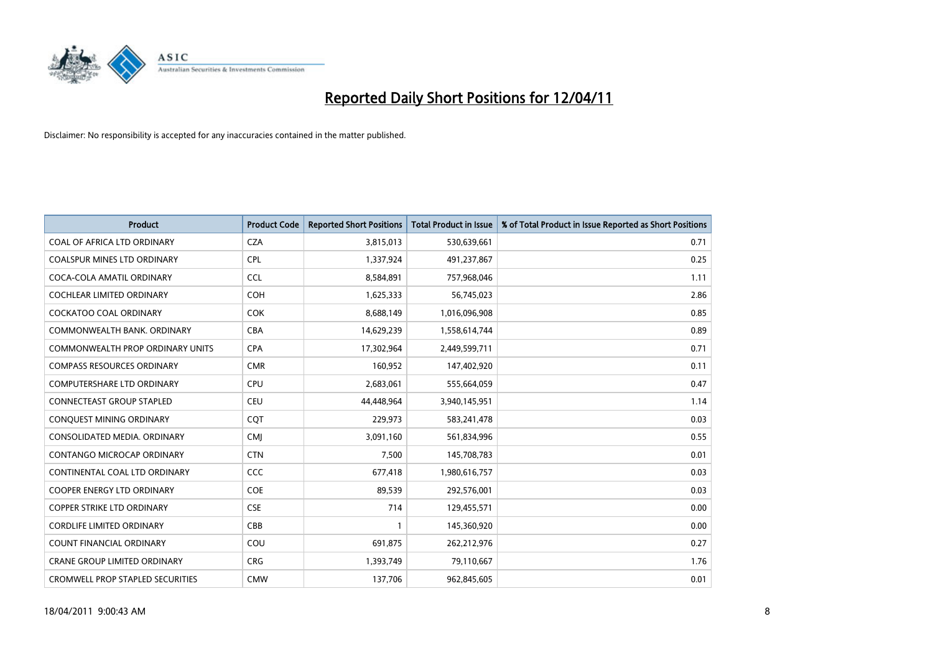

| <b>Product</b>                          | <b>Product Code</b> | <b>Reported Short Positions</b> | <b>Total Product in Issue</b> | % of Total Product in Issue Reported as Short Positions |
|-----------------------------------------|---------------------|---------------------------------|-------------------------------|---------------------------------------------------------|
| COAL OF AFRICA LTD ORDINARY             | <b>CZA</b>          | 3,815,013                       | 530,639,661                   | 0.71                                                    |
| <b>COALSPUR MINES LTD ORDINARY</b>      | <b>CPL</b>          | 1,337,924                       | 491,237,867                   | 0.25                                                    |
| COCA-COLA AMATIL ORDINARY               | <b>CCL</b>          | 8,584,891                       | 757,968,046                   | 1.11                                                    |
| COCHLEAR LIMITED ORDINARY               | <b>COH</b>          | 1,625,333                       | 56,745,023                    | 2.86                                                    |
| <b>COCKATOO COAL ORDINARY</b>           | <b>COK</b>          | 8,688,149                       | 1,016,096,908                 | 0.85                                                    |
| COMMONWEALTH BANK, ORDINARY             | <b>CBA</b>          | 14,629,239                      | 1,558,614,744                 | 0.89                                                    |
| <b>COMMONWEALTH PROP ORDINARY UNITS</b> | <b>CPA</b>          | 17,302,964                      | 2,449,599,711                 | 0.71                                                    |
| <b>COMPASS RESOURCES ORDINARY</b>       | <b>CMR</b>          | 160,952                         | 147,402,920                   | 0.11                                                    |
| COMPUTERSHARE LTD ORDINARY              | <b>CPU</b>          | 2,683,061                       | 555,664,059                   | 0.47                                                    |
| <b>CONNECTEAST GROUP STAPLED</b>        | <b>CEU</b>          | 44.448.964                      | 3,940,145,951                 | 1.14                                                    |
| CONQUEST MINING ORDINARY                | CQT                 | 229,973                         | 583,241,478                   | 0.03                                                    |
| CONSOLIDATED MEDIA, ORDINARY            | <b>CMJ</b>          | 3,091,160                       | 561,834,996                   | 0.55                                                    |
| <b>CONTANGO MICROCAP ORDINARY</b>       | <b>CTN</b>          | 7,500                           | 145,708,783                   | 0.01                                                    |
| CONTINENTAL COAL LTD ORDINARY           | <b>CCC</b>          | 677,418                         | 1,980,616,757                 | 0.03                                                    |
| <b>COOPER ENERGY LTD ORDINARY</b>       | <b>COE</b>          | 89,539                          | 292,576,001                   | 0.03                                                    |
| <b>COPPER STRIKE LTD ORDINARY</b>       | <b>CSE</b>          | 714                             | 129,455,571                   | 0.00                                                    |
| <b>CORDLIFE LIMITED ORDINARY</b>        | CBB                 |                                 | 145,360,920                   | 0.00                                                    |
| COUNT FINANCIAL ORDINARY                | COU                 | 691,875                         | 262,212,976                   | 0.27                                                    |
| <b>CRANE GROUP LIMITED ORDINARY</b>     | <b>CRG</b>          | 1,393,749                       | 79,110,667                    | 1.76                                                    |
| <b>CROMWELL PROP STAPLED SECURITIES</b> | <b>CMW</b>          | 137.706                         | 962,845,605                   | 0.01                                                    |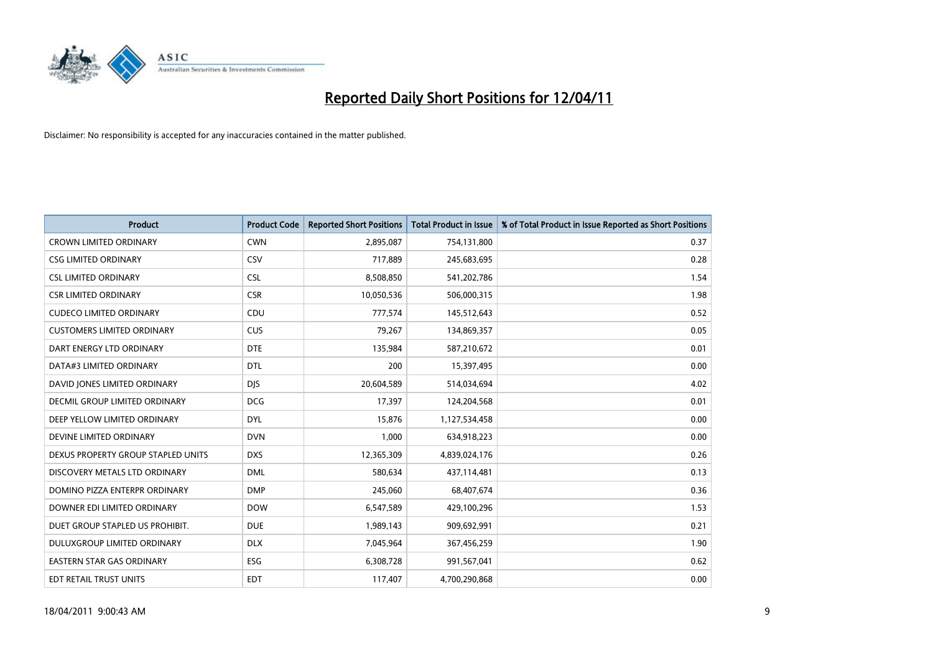

| Product                              | <b>Product Code</b> | <b>Reported Short Positions</b> | <b>Total Product in Issue</b> | % of Total Product in Issue Reported as Short Positions |
|--------------------------------------|---------------------|---------------------------------|-------------------------------|---------------------------------------------------------|
| <b>CROWN LIMITED ORDINARY</b>        | <b>CWN</b>          | 2,895,087                       | 754,131,800                   | 0.37                                                    |
| <b>CSG LIMITED ORDINARY</b>          | <b>CSV</b>          | 717,889                         | 245,683,695                   | 0.28                                                    |
| <b>CSL LIMITED ORDINARY</b>          | <b>CSL</b>          | 8,508,850                       | 541,202,786                   | 1.54                                                    |
| <b>CSR LIMITED ORDINARY</b>          | <b>CSR</b>          | 10,050,536                      | 506,000,315                   | 1.98                                                    |
| <b>CUDECO LIMITED ORDINARY</b>       | CDU                 | 777,574                         | 145,512,643                   | 0.52                                                    |
| <b>CUSTOMERS LIMITED ORDINARY</b>    | <b>CUS</b>          | 79,267                          | 134,869,357                   | 0.05                                                    |
| DART ENERGY LTD ORDINARY             | <b>DTE</b>          | 135,984                         | 587,210,672                   | 0.01                                                    |
| DATA#3 LIMITED ORDINARY              | <b>DTL</b>          | 200                             | 15,397,495                    | 0.00                                                    |
| DAVID JONES LIMITED ORDINARY         | <b>DJS</b>          | 20,604,589                      | 514,034,694                   | 4.02                                                    |
| <b>DECMIL GROUP LIMITED ORDINARY</b> | <b>DCG</b>          | 17,397                          | 124,204,568                   | 0.01                                                    |
| DEEP YELLOW LIMITED ORDINARY         | <b>DYL</b>          | 15,876                          | 1,127,534,458                 | 0.00                                                    |
| DEVINE LIMITED ORDINARY              | <b>DVN</b>          | 1,000                           | 634,918,223                   | 0.00                                                    |
| DEXUS PROPERTY GROUP STAPLED UNITS   | <b>DXS</b>          | 12,365,309                      | 4,839,024,176                 | 0.26                                                    |
| DISCOVERY METALS LTD ORDINARY        | <b>DML</b>          | 580.634                         | 437,114,481                   | 0.13                                                    |
| DOMINO PIZZA ENTERPR ORDINARY        | <b>DMP</b>          | 245,060                         | 68,407,674                    | 0.36                                                    |
| DOWNER EDI LIMITED ORDINARY          | <b>DOW</b>          | 6,547,589                       | 429,100,296                   | 1.53                                                    |
| DUET GROUP STAPLED US PROHIBIT.      | <b>DUE</b>          | 1,989,143                       | 909,692,991                   | 0.21                                                    |
| DULUXGROUP LIMITED ORDINARY          | <b>DLX</b>          | 7,045,964                       | 367,456,259                   | 1.90                                                    |
| <b>EASTERN STAR GAS ORDINARY</b>     | ESG                 | 6,308,728                       | 991,567,041                   | 0.62                                                    |
| <b>EDT RETAIL TRUST UNITS</b>        | <b>EDT</b>          | 117,407                         | 4,700,290,868                 | 0.00                                                    |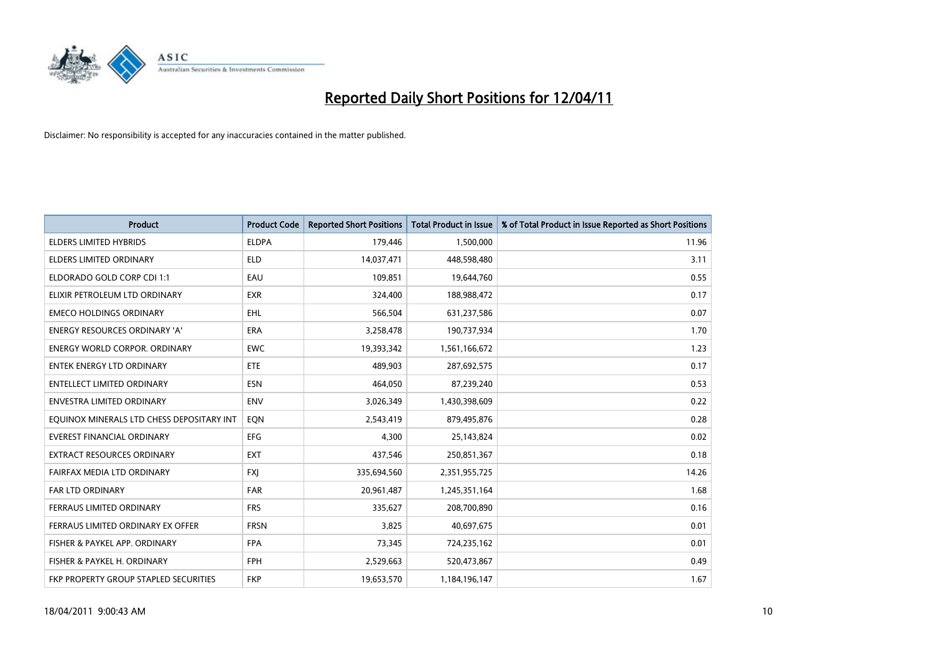

| <b>Product</b>                               | <b>Product Code</b> | <b>Reported Short Positions</b> | <b>Total Product in Issue</b> | % of Total Product in Issue Reported as Short Positions |
|----------------------------------------------|---------------------|---------------------------------|-------------------------------|---------------------------------------------------------|
| <b>ELDERS LIMITED HYBRIDS</b>                | <b>ELDPA</b>        | 179,446                         | 1,500,000                     | 11.96                                                   |
| ELDERS LIMITED ORDINARY                      | <b>ELD</b>          | 14,037,471                      | 448,598,480                   | 3.11                                                    |
| ELDORADO GOLD CORP CDI 1:1                   | EAU                 | 109,851                         | 19,644,760                    | 0.55                                                    |
| ELIXIR PETROLEUM LTD ORDINARY                | <b>EXR</b>          | 324,400                         | 188,988,472                   | 0.17                                                    |
| <b>EMECO HOLDINGS ORDINARY</b>               | <b>EHL</b>          | 566,504                         | 631,237,586                   | 0.07                                                    |
| ENERGY RESOURCES ORDINARY 'A'                | <b>ERA</b>          | 3,258,478                       | 190,737,934                   | 1.70                                                    |
| <b>ENERGY WORLD CORPOR, ORDINARY</b>         | <b>EWC</b>          | 19,393,342                      | 1,561,166,672                 | 1.23                                                    |
| <b>ENTEK ENERGY LTD ORDINARY</b>             | <b>ETE</b>          | 489,903                         | 287,692,575                   | 0.17                                                    |
| ENTELLECT LIMITED ORDINARY                   | <b>ESN</b>          | 464,050                         | 87,239,240                    | 0.53                                                    |
| <b>ENVESTRA LIMITED ORDINARY</b>             | <b>ENV</b>          | 3,026,349                       | 1,430,398,609                 | 0.22                                                    |
| EQUINOX MINERALS LTD CHESS DEPOSITARY INT    | EON                 | 2,543,419                       | 879,495,876                   | 0.28                                                    |
| <b>EVEREST FINANCIAL ORDINARY</b>            | <b>EFG</b>          | 4.300                           | 25,143,824                    | 0.02                                                    |
| EXTRACT RESOURCES ORDINARY                   | <b>EXT</b>          | 437,546                         | 250,851,367                   | 0.18                                                    |
| FAIRFAX MEDIA LTD ORDINARY                   | <b>FXI</b>          | 335,694,560                     | 2,351,955,725                 | 14.26                                                   |
| <b>FAR LTD ORDINARY</b>                      | FAR                 | 20,961,487                      | 1,245,351,164                 | 1.68                                                    |
| FERRAUS LIMITED ORDINARY                     | <b>FRS</b>          | 335,627                         | 208,700,890                   | 0.16                                                    |
| FERRAUS LIMITED ORDINARY EX OFFER            | <b>FRSN</b>         | 3,825                           | 40,697,675                    | 0.01                                                    |
| FISHER & PAYKEL APP. ORDINARY                | <b>FPA</b>          | 73,345                          | 724,235,162                   | 0.01                                                    |
| FISHER & PAYKEL H. ORDINARY                  | FPH                 | 2,529,663                       | 520,473,867                   | 0.49                                                    |
| <b>FKP PROPERTY GROUP STAPLED SECURITIES</b> | <b>FKP</b>          | 19,653,570                      | 1,184,196,147                 | 1.67                                                    |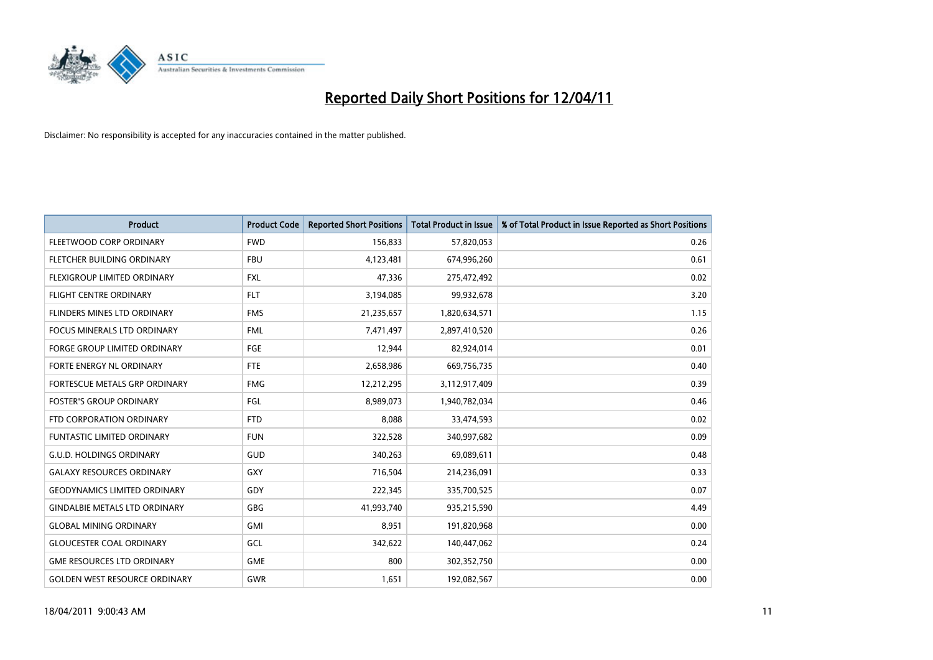

| <b>Product</b>                       | <b>Product Code</b> | <b>Reported Short Positions</b> | <b>Total Product in Issue</b> | % of Total Product in Issue Reported as Short Positions |
|--------------------------------------|---------------------|---------------------------------|-------------------------------|---------------------------------------------------------|
| FLEETWOOD CORP ORDINARY              | <b>FWD</b>          | 156,833                         | 57,820,053                    | 0.26                                                    |
| FLETCHER BUILDING ORDINARY           | <b>FBU</b>          | 4,123,481                       | 674,996,260                   | 0.61                                                    |
| FLEXIGROUP LIMITED ORDINARY          | <b>FXL</b>          | 47,336                          | 275,472,492                   | 0.02                                                    |
| <b>FLIGHT CENTRE ORDINARY</b>        | <b>FLT</b>          | 3,194,085                       | 99,932,678                    | 3.20                                                    |
| FLINDERS MINES LTD ORDINARY          | <b>FMS</b>          | 21,235,657                      | 1,820,634,571                 | 1.15                                                    |
| <b>FOCUS MINERALS LTD ORDINARY</b>   | <b>FML</b>          | 7,471,497                       | 2,897,410,520                 | 0.26                                                    |
| <b>FORGE GROUP LIMITED ORDINARY</b>  | FGE                 | 12,944                          | 82,924,014                    | 0.01                                                    |
| FORTE ENERGY NL ORDINARY             | <b>FTE</b>          | 2,658,986                       | 669,756,735                   | 0.40                                                    |
| FORTESCUE METALS GRP ORDINARY        | <b>FMG</b>          | 12,212,295                      | 3,112,917,409                 | 0.39                                                    |
| <b>FOSTER'S GROUP ORDINARY</b>       | <b>FGL</b>          | 8,989,073                       | 1,940,782,034                 | 0.46                                                    |
| FTD CORPORATION ORDINARY             | <b>FTD</b>          | 8,088                           | 33,474,593                    | 0.02                                                    |
| FUNTASTIC LIMITED ORDINARY           | <b>FUN</b>          | 322,528                         | 340,997,682                   | 0.09                                                    |
| <b>G.U.D. HOLDINGS ORDINARY</b>      | GUD                 | 340,263                         | 69,089,611                    | 0.48                                                    |
| <b>GALAXY RESOURCES ORDINARY</b>     | GXY                 | 716,504                         | 214,236,091                   | 0.33                                                    |
| <b>GEODYNAMICS LIMITED ORDINARY</b>  | GDY                 | 222,345                         | 335,700,525                   | 0.07                                                    |
| <b>GINDALBIE METALS LTD ORDINARY</b> | GBG                 | 41,993,740                      | 935,215,590                   | 4.49                                                    |
| <b>GLOBAL MINING ORDINARY</b>        | GMI                 | 8,951                           | 191,820,968                   | 0.00                                                    |
| <b>GLOUCESTER COAL ORDINARY</b>      | GCL                 | 342,622                         | 140,447,062                   | 0.24                                                    |
| <b>GME RESOURCES LTD ORDINARY</b>    | <b>GME</b>          | 800                             | 302,352,750                   | 0.00                                                    |
| <b>GOLDEN WEST RESOURCE ORDINARY</b> | <b>GWR</b>          | 1,651                           | 192,082,567                   | 0.00                                                    |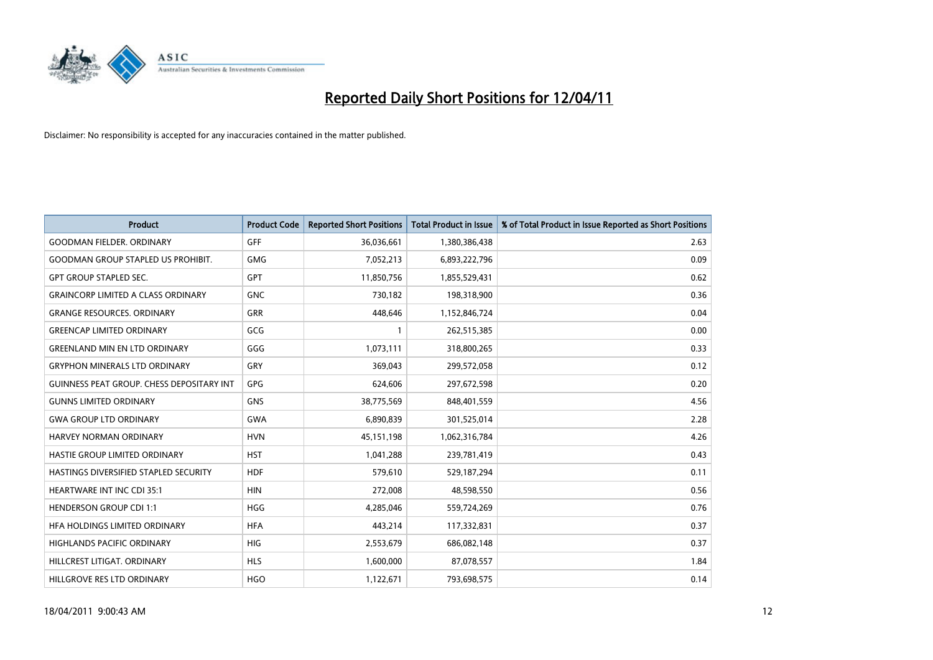

| <b>Product</b>                                   | <b>Product Code</b> | <b>Reported Short Positions</b> | Total Product in Issue | % of Total Product in Issue Reported as Short Positions |
|--------------------------------------------------|---------------------|---------------------------------|------------------------|---------------------------------------------------------|
| <b>GOODMAN FIELDER, ORDINARY</b>                 | GFF                 | 36,036,661                      | 1,380,386,438          | 2.63                                                    |
| <b>GOODMAN GROUP STAPLED US PROHIBIT.</b>        | <b>GMG</b>          | 7,052,213                       | 6,893,222,796          | 0.09                                                    |
| <b>GPT GROUP STAPLED SEC.</b>                    | <b>GPT</b>          | 11,850,756                      | 1,855,529,431          | 0.62                                                    |
| <b>GRAINCORP LIMITED A CLASS ORDINARY</b>        | <b>GNC</b>          | 730,182                         | 198,318,900            | 0.36                                                    |
| <b>GRANGE RESOURCES, ORDINARY</b>                | GRR                 | 448.646                         | 1,152,846,724          | 0.04                                                    |
| <b>GREENCAP LIMITED ORDINARY</b>                 | GCG                 |                                 | 262,515,385            | 0.00                                                    |
| <b>GREENLAND MIN EN LTD ORDINARY</b>             | GGG                 | 1,073,111                       | 318,800,265            | 0.33                                                    |
| <b>GRYPHON MINERALS LTD ORDINARY</b>             | GRY                 | 369,043                         | 299,572,058            | 0.12                                                    |
| <b>GUINNESS PEAT GROUP. CHESS DEPOSITARY INT</b> | <b>GPG</b>          | 624.606                         | 297,672,598            | 0.20                                                    |
| <b>GUNNS LIMITED ORDINARY</b>                    | <b>GNS</b>          | 38,775,569                      | 848,401,559            | 4.56                                                    |
| <b>GWA GROUP LTD ORDINARY</b>                    | <b>GWA</b>          | 6,890,839                       | 301,525,014            | 2.28                                                    |
| HARVEY NORMAN ORDINARY                           | <b>HVN</b>          | 45,151,198                      | 1,062,316,784          | 4.26                                                    |
| HASTIE GROUP LIMITED ORDINARY                    | <b>HST</b>          | 1,041,288                       | 239,781,419            | 0.43                                                    |
| <b>HASTINGS DIVERSIFIED STAPLED SECURITY</b>     | <b>HDF</b>          | 579,610                         | 529,187,294            | 0.11                                                    |
| <b>HEARTWARE INT INC CDI 35:1</b>                | <b>HIN</b>          | 272,008                         | 48,598,550             | 0.56                                                    |
| <b>HENDERSON GROUP CDI 1:1</b>                   | <b>HGG</b>          | 4,285,046                       | 559,724,269            | 0.76                                                    |
| HEA HOLDINGS LIMITED ORDINARY                    | <b>HFA</b>          | 443,214                         | 117,332,831            | 0.37                                                    |
| HIGHLANDS PACIFIC ORDINARY                       | <b>HIG</b>          | 2,553,679                       | 686,082,148            | 0.37                                                    |
| HILLCREST LITIGAT, ORDINARY                      | <b>HLS</b>          | 1,600,000                       | 87,078,557             | 1.84                                                    |
| HILLGROVE RES LTD ORDINARY                       | <b>HGO</b>          | 1,122,671                       | 793,698,575            | 0.14                                                    |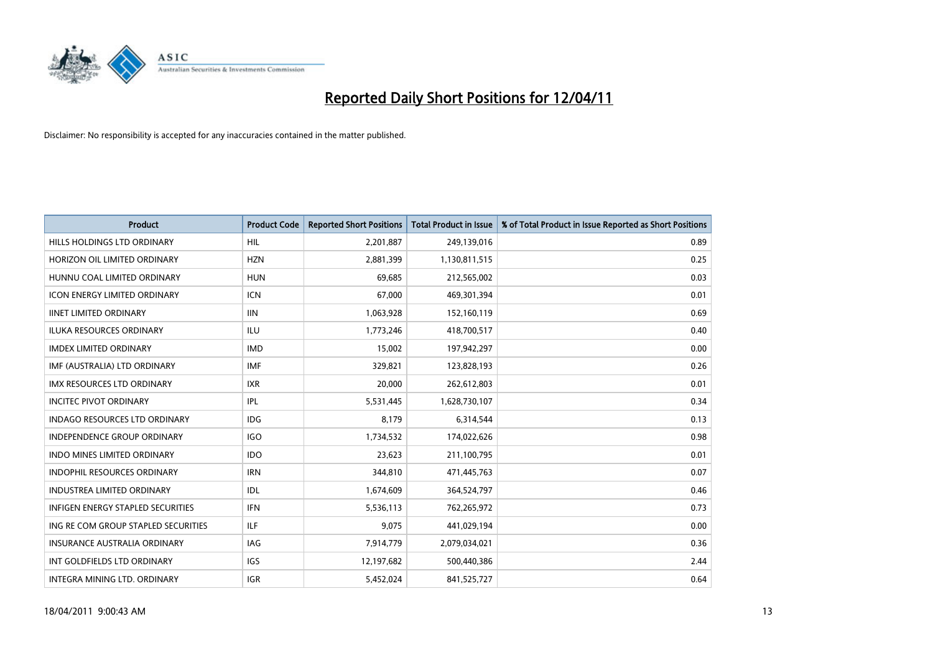

| <b>Product</b>                           | <b>Product Code</b> | <b>Reported Short Positions</b> | <b>Total Product in Issue</b> | % of Total Product in Issue Reported as Short Positions |
|------------------------------------------|---------------------|---------------------------------|-------------------------------|---------------------------------------------------------|
| HILLS HOLDINGS LTD ORDINARY              | <b>HIL</b>          | 2,201,887                       | 249,139,016                   | 0.89                                                    |
| HORIZON OIL LIMITED ORDINARY             | <b>HZN</b>          | 2,881,399                       | 1,130,811,515                 | 0.25                                                    |
| HUNNU COAL LIMITED ORDINARY              | <b>HUN</b>          | 69,685                          | 212,565,002                   | 0.03                                                    |
| ICON ENERGY LIMITED ORDINARY             | <b>ICN</b>          | 67,000                          | 469,301,394                   | 0.01                                                    |
| <b>IINET LIMITED ORDINARY</b>            | <b>IIN</b>          | 1,063,928                       | 152,160,119                   | 0.69                                                    |
| <b>ILUKA RESOURCES ORDINARY</b>          | <b>ILU</b>          | 1,773,246                       | 418,700,517                   | 0.40                                                    |
| <b>IMDEX LIMITED ORDINARY</b>            | <b>IMD</b>          | 15,002                          | 197,942,297                   | 0.00                                                    |
| IMF (AUSTRALIA) LTD ORDINARY             | <b>IMF</b>          | 329,821                         | 123,828,193                   | 0.26                                                    |
| IMX RESOURCES LTD ORDINARY               | <b>IXR</b>          | 20,000                          | 262,612,803                   | 0.01                                                    |
| <b>INCITEC PIVOT ORDINARY</b>            | IPL                 | 5,531,445                       | 1,628,730,107                 | 0.34                                                    |
| <b>INDAGO RESOURCES LTD ORDINARY</b>     | <b>IDG</b>          | 8,179                           | 6,314,544                     | 0.13                                                    |
| <b>INDEPENDENCE GROUP ORDINARY</b>       | <b>IGO</b>          | 1,734,532                       | 174,022,626                   | 0.98                                                    |
| <b>INDO MINES LIMITED ORDINARY</b>       | <b>IDO</b>          | 23,623                          | 211,100,795                   | 0.01                                                    |
| <b>INDOPHIL RESOURCES ORDINARY</b>       | <b>IRN</b>          | 344,810                         | 471,445,763                   | 0.07                                                    |
| <b>INDUSTREA LIMITED ORDINARY</b>        | IDL                 | 1,674,609                       | 364,524,797                   | 0.46                                                    |
| <b>INFIGEN ENERGY STAPLED SECURITIES</b> | <b>IFN</b>          | 5,536,113                       | 762,265,972                   | 0.73                                                    |
| ING RE COM GROUP STAPLED SECURITIES      | ILF.                | 9,075                           | 441,029,194                   | 0.00                                                    |
| INSURANCE AUSTRALIA ORDINARY             | <b>IAG</b>          | 7,914,779                       | 2,079,034,021                 | 0.36                                                    |
| INT GOLDFIELDS LTD ORDINARY              | IGS                 | 12,197,682                      | 500,440,386                   | 2.44                                                    |
| INTEGRA MINING LTD. ORDINARY             | <b>IGR</b>          | 5,452,024                       | 841,525,727                   | 0.64                                                    |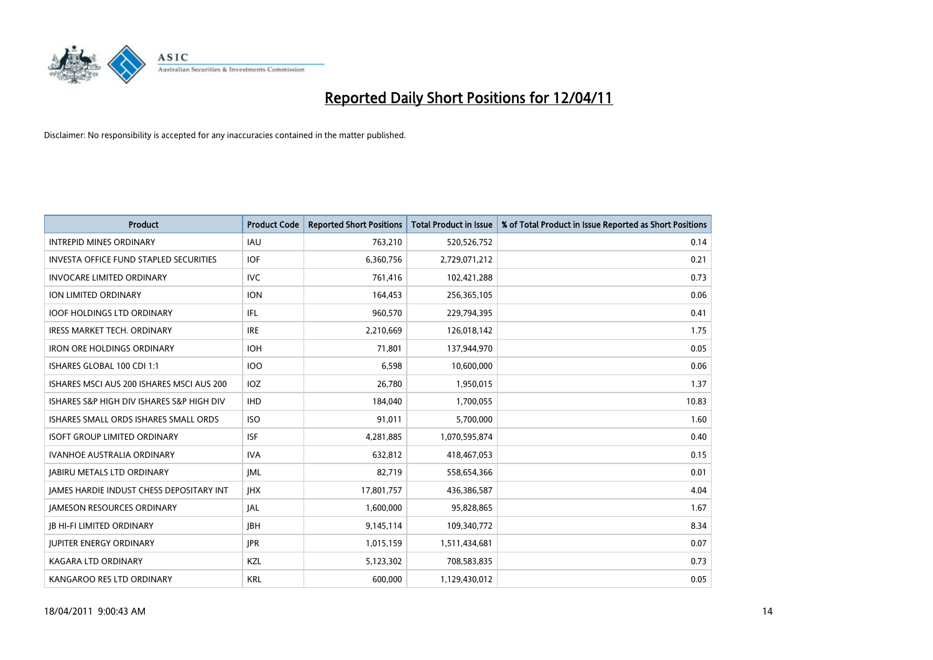

| <b>Product</b>                                | <b>Product Code</b> | <b>Reported Short Positions</b> | Total Product in Issue | % of Total Product in Issue Reported as Short Positions |
|-----------------------------------------------|---------------------|---------------------------------|------------------------|---------------------------------------------------------|
| <b>INTREPID MINES ORDINARY</b>                | <b>IAU</b>          | 763,210                         | 520,526,752            | 0.14                                                    |
| <b>INVESTA OFFICE FUND STAPLED SECURITIES</b> | <b>IOF</b>          | 6,360,756                       | 2,729,071,212          | 0.21                                                    |
| <b>INVOCARE LIMITED ORDINARY</b>              | <b>IVC</b>          | 761,416                         | 102,421,288            | 0.73                                                    |
| ION LIMITED ORDINARY                          | <b>ION</b>          | 164,453                         | 256,365,105            | 0.06                                                    |
| <b>IOOF HOLDINGS LTD ORDINARY</b>             | IFL.                | 960,570                         | 229,794,395            | 0.41                                                    |
| <b>IRESS MARKET TECH. ORDINARY</b>            | <b>IRE</b>          | 2,210,669                       | 126,018,142            | 1.75                                                    |
| <b>IRON ORE HOLDINGS ORDINARY</b>             | <b>IOH</b>          | 71,801                          | 137,944,970            | 0.05                                                    |
| ISHARES GLOBAL 100 CDI 1:1                    | <b>IOO</b>          | 6,598                           | 10,600,000             | 0.06                                                    |
| ISHARES MSCI AUS 200 ISHARES MSCI AUS 200     | IOZ                 | 26,780                          | 1,950,015              | 1.37                                                    |
| ISHARES S&P HIGH DIV ISHARES S&P HIGH DIV     | <b>IHD</b>          | 184,040                         | 1,700,055              | 10.83                                                   |
| ISHARES SMALL ORDS ISHARES SMALL ORDS         | <b>ISO</b>          | 91,011                          | 5,700,000              | 1.60                                                    |
| <b>ISOFT GROUP LIMITED ORDINARY</b>           | <b>ISF</b>          | 4,281,885                       | 1,070,595,874          | 0.40                                                    |
| <b>IVANHOE AUSTRALIA ORDINARY</b>             | <b>IVA</b>          | 632,812                         | 418,467,053            | 0.15                                                    |
| <b>JABIRU METALS LTD ORDINARY</b>             | <b>IML</b>          | 82,719                          | 558,654,366            | 0.01                                                    |
| JAMES HARDIE INDUST CHESS DEPOSITARY INT      | <b>IHX</b>          | 17,801,757                      | 436,386,587            | 4.04                                                    |
| <b>JAMESON RESOURCES ORDINARY</b>             | <b>JAL</b>          | 1,600,000                       | 95,828,865             | 1.67                                                    |
| <b>JB HI-FI LIMITED ORDINARY</b>              | <b>IBH</b>          | 9,145,114                       | 109,340,772            | 8.34                                                    |
| <b>JUPITER ENERGY ORDINARY</b>                | <b>JPR</b>          | 1,015,159                       | 1,511,434,681          | 0.07                                                    |
| KAGARA LTD ORDINARY                           | KZL                 | 5,123,302                       | 708,583,835            | 0.73                                                    |
| KANGAROO RES LTD ORDINARY                     | <b>KRL</b>          | 600,000                         | 1,129,430,012          | 0.05                                                    |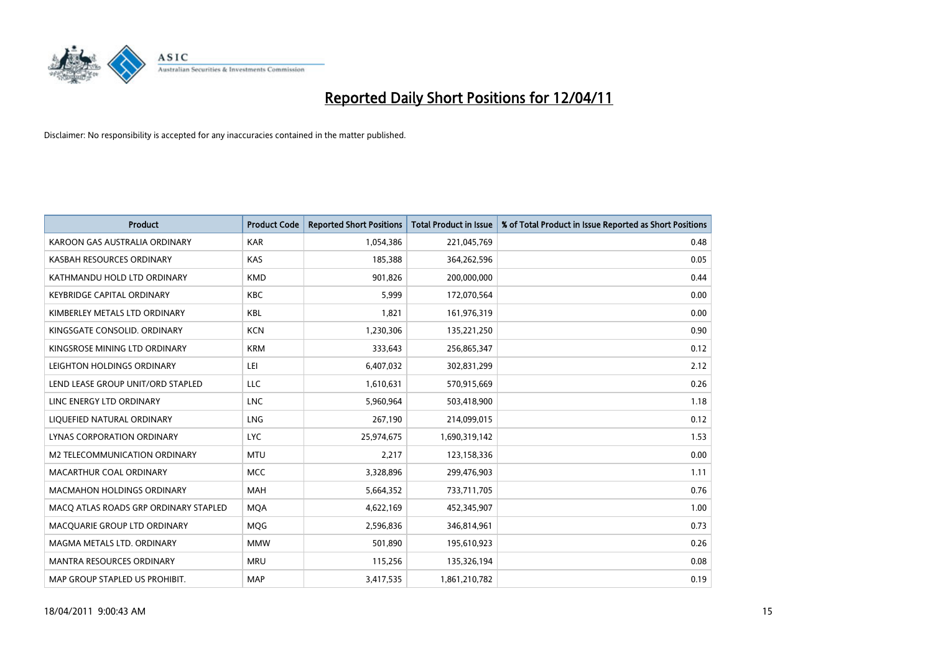

| Product                               | <b>Product Code</b> | <b>Reported Short Positions</b> | <b>Total Product in Issue</b> | % of Total Product in Issue Reported as Short Positions |
|---------------------------------------|---------------------|---------------------------------|-------------------------------|---------------------------------------------------------|
| KAROON GAS AUSTRALIA ORDINARY         | <b>KAR</b>          | 1,054,386                       | 221,045,769                   | 0.48                                                    |
| KASBAH RESOURCES ORDINARY             | <b>KAS</b>          | 185,388                         | 364,262,596                   | 0.05                                                    |
| KATHMANDU HOLD LTD ORDINARY           | <b>KMD</b>          | 901,826                         | 200,000,000                   | 0.44                                                    |
| <b>KEYBRIDGE CAPITAL ORDINARY</b>     | <b>KBC</b>          | 5,999                           | 172,070,564                   | 0.00                                                    |
| KIMBERLEY METALS LTD ORDINARY         | <b>KBL</b>          | 1,821                           | 161,976,319                   | 0.00                                                    |
| KINGSGATE CONSOLID, ORDINARY          | <b>KCN</b>          | 1,230,306                       | 135,221,250                   | 0.90                                                    |
| KINGSROSE MINING LTD ORDINARY         | <b>KRM</b>          | 333,643                         | 256,865,347                   | 0.12                                                    |
| LEIGHTON HOLDINGS ORDINARY            | LEI                 | 6,407,032                       | 302,831,299                   | 2.12                                                    |
| LEND LEASE GROUP UNIT/ORD STAPLED     | LLC                 | 1,610,631                       | 570,915,669                   | 0.26                                                    |
| LINC ENERGY LTD ORDINARY              | <b>LNC</b>          | 5,960,964                       | 503,418,900                   | 1.18                                                    |
| LIQUEFIED NATURAL ORDINARY            | <b>LNG</b>          | 267,190                         | 214,099,015                   | 0.12                                                    |
| <b>LYNAS CORPORATION ORDINARY</b>     | <b>LYC</b>          | 25,974,675                      | 1,690,319,142                 | 1.53                                                    |
| M2 TELECOMMUNICATION ORDINARY         | <b>MTU</b>          | 2,217                           | 123,158,336                   | 0.00                                                    |
| <b>MACARTHUR COAL ORDINARY</b>        | <b>MCC</b>          | 3,328,896                       | 299,476,903                   | 1.11                                                    |
| <b>MACMAHON HOLDINGS ORDINARY</b>     | <b>MAH</b>          | 5,664,352                       | 733,711,705                   | 0.76                                                    |
| MACO ATLAS ROADS GRP ORDINARY STAPLED | <b>MOA</b>          | 4,622,169                       | 452,345,907                   | 1.00                                                    |
| MACQUARIE GROUP LTD ORDINARY          | MQG                 | 2,596,836                       | 346,814,961                   | 0.73                                                    |
| MAGMA METALS LTD. ORDINARY            | <b>MMW</b>          | 501,890                         | 195,610,923                   | 0.26                                                    |
| MANTRA RESOURCES ORDINARY             | <b>MRU</b>          | 115,256                         | 135,326,194                   | 0.08                                                    |
| MAP GROUP STAPLED US PROHIBIT.        | <b>MAP</b>          | 3,417,535                       | 1,861,210,782                 | 0.19                                                    |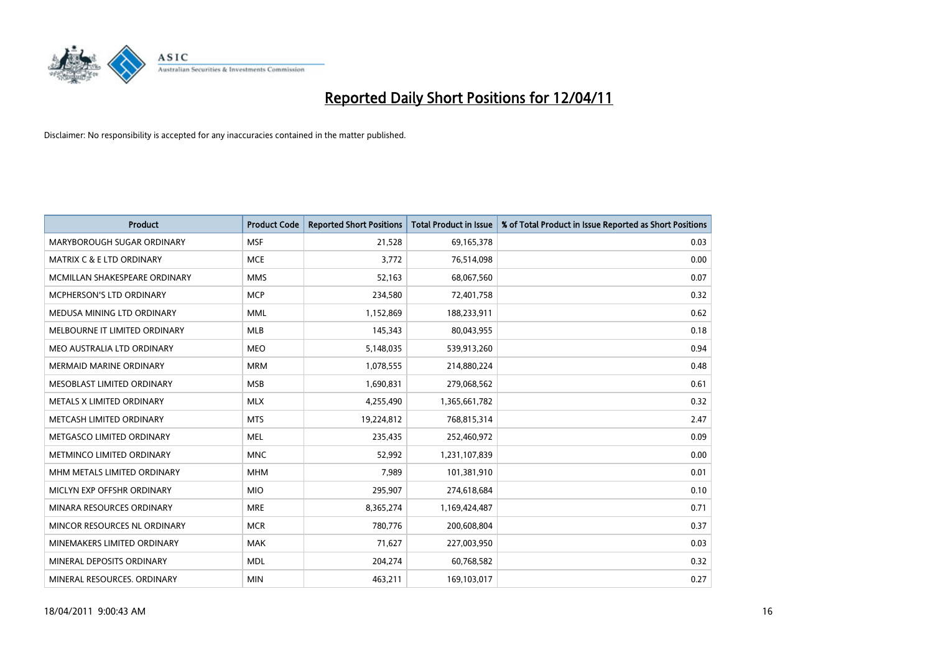

| <b>Product</b>                 | <b>Product Code</b> | <b>Reported Short Positions</b> | <b>Total Product in Issue</b> | % of Total Product in Issue Reported as Short Positions |
|--------------------------------|---------------------|---------------------------------|-------------------------------|---------------------------------------------------------|
| MARYBOROUGH SUGAR ORDINARY     | <b>MSF</b>          | 21,528                          | 69,165,378                    | 0.03                                                    |
| MATRIX C & E LTD ORDINARY      | <b>MCE</b>          | 3,772                           | 76,514,098                    | 0.00                                                    |
| MCMILLAN SHAKESPEARE ORDINARY  | <b>MMS</b>          | 52,163                          | 68,067,560                    | 0.07                                                    |
| MCPHERSON'S LTD ORDINARY       | <b>MCP</b>          | 234,580                         | 72,401,758                    | 0.32                                                    |
| MEDUSA MINING LTD ORDINARY     | <b>MML</b>          | 1,152,869                       | 188,233,911                   | 0.62                                                    |
| MELBOURNE IT LIMITED ORDINARY  | <b>MLB</b>          | 145,343                         | 80,043,955                    | 0.18                                                    |
| MEO AUSTRALIA LTD ORDINARY     | <b>MEO</b>          | 5,148,035                       | 539,913,260                   | 0.94                                                    |
| <b>MERMAID MARINE ORDINARY</b> | <b>MRM</b>          | 1,078,555                       | 214,880,224                   | 0.48                                                    |
| MESOBLAST LIMITED ORDINARY     | <b>MSB</b>          | 1,690,831                       | 279,068,562                   | 0.61                                                    |
| METALS X LIMITED ORDINARY      | <b>MLX</b>          | 4,255,490                       | 1,365,661,782                 | 0.32                                                    |
| METCASH LIMITED ORDINARY       | <b>MTS</b>          | 19,224,812                      | 768,815,314                   | 2.47                                                    |
| METGASCO LIMITED ORDINARY      | <b>MEL</b>          | 235,435                         | 252,460,972                   | 0.09                                                    |
| METMINCO LIMITED ORDINARY      | <b>MNC</b>          | 52,992                          | 1,231,107,839                 | 0.00                                                    |
| MHM METALS LIMITED ORDINARY    | <b>MHM</b>          | 7,989                           | 101,381,910                   | 0.01                                                    |
| MICLYN EXP OFFSHR ORDINARY     | <b>MIO</b>          | 295,907                         | 274,618,684                   | 0.10                                                    |
| MINARA RESOURCES ORDINARY      | <b>MRE</b>          | 8,365,274                       | 1,169,424,487                 | 0.71                                                    |
| MINCOR RESOURCES NL ORDINARY   | <b>MCR</b>          | 780,776                         | 200,608,804                   | 0.37                                                    |
| MINEMAKERS LIMITED ORDINARY    | <b>MAK</b>          | 71,627                          | 227,003,950                   | 0.03                                                    |
| MINERAL DEPOSITS ORDINARY      | <b>MDL</b>          | 204,274                         | 60,768,582                    | 0.32                                                    |
| MINERAL RESOURCES, ORDINARY    | <b>MIN</b>          | 463,211                         | 169,103,017                   | 0.27                                                    |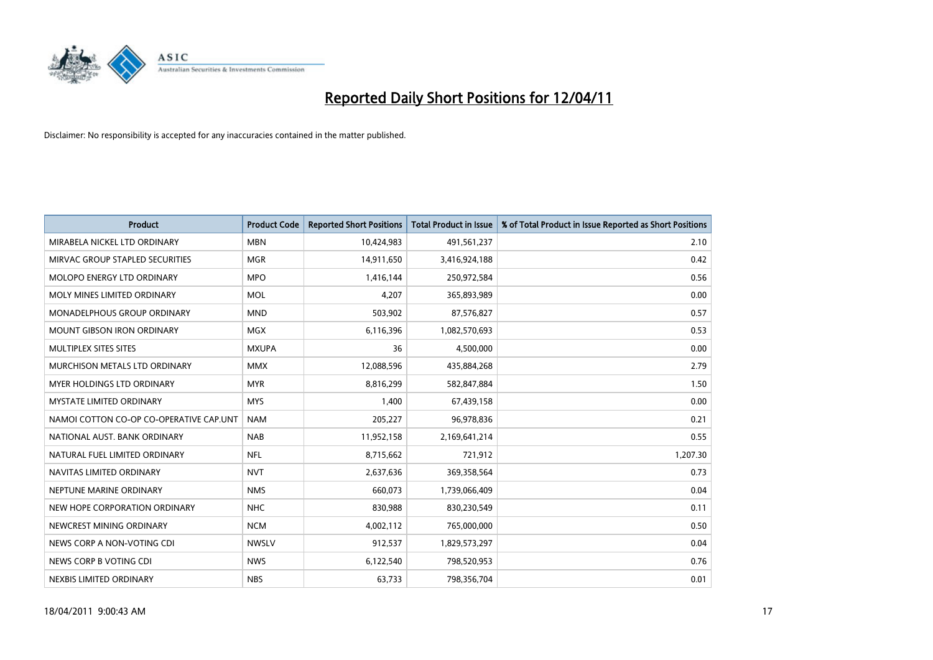

| Product                                 | <b>Product Code</b> | <b>Reported Short Positions</b> | <b>Total Product in Issue</b> | % of Total Product in Issue Reported as Short Positions |
|-----------------------------------------|---------------------|---------------------------------|-------------------------------|---------------------------------------------------------|
| MIRABELA NICKEL LTD ORDINARY            | <b>MBN</b>          | 10,424,983                      | 491,561,237                   | 2.10                                                    |
| MIRVAC GROUP STAPLED SECURITIES         | <b>MGR</b>          | 14,911,650                      | 3,416,924,188                 | 0.42                                                    |
| <b>MOLOPO ENERGY LTD ORDINARY</b>       | <b>MPO</b>          | 1,416,144                       | 250,972,584                   | 0.56                                                    |
| MOLY MINES LIMITED ORDINARY             | <b>MOL</b>          | 4,207                           | 365,893,989                   | 0.00                                                    |
| MONADELPHOUS GROUP ORDINARY             | <b>MND</b>          | 503,902                         | 87,576,827                    | 0.57                                                    |
| <b>MOUNT GIBSON IRON ORDINARY</b>       | <b>MGX</b>          | 6,116,396                       | 1,082,570,693                 | 0.53                                                    |
| MULTIPLEX SITES SITES                   | <b>MXUPA</b>        | 36                              | 4,500,000                     | 0.00                                                    |
| MURCHISON METALS LTD ORDINARY           | <b>MMX</b>          | 12,088,596                      | 435,884,268                   | 2.79                                                    |
| MYER HOLDINGS LTD ORDINARY              | <b>MYR</b>          | 8,816,299                       | 582,847,884                   | 1.50                                                    |
| <b>MYSTATE LIMITED ORDINARY</b>         | <b>MYS</b>          | 1,400                           | 67,439,158                    | 0.00                                                    |
| NAMOI COTTON CO-OP CO-OPERATIVE CAP.UNT | <b>NAM</b>          | 205,227                         | 96,978,836                    | 0.21                                                    |
| NATIONAL AUST, BANK ORDINARY            | <b>NAB</b>          | 11,952,158                      | 2,169,641,214                 | 0.55                                                    |
| NATURAL FUEL LIMITED ORDINARY           | <b>NFL</b>          | 8,715,662                       | 721,912                       | 1,207.30                                                |
| NAVITAS LIMITED ORDINARY                | <b>NVT</b>          | 2,637,636                       | 369,358,564                   | 0.73                                                    |
| NEPTUNE MARINE ORDINARY                 | <b>NMS</b>          | 660,073                         | 1,739,066,409                 | 0.04                                                    |
| NEW HOPE CORPORATION ORDINARY           | <b>NHC</b>          | 830,988                         | 830,230,549                   | 0.11                                                    |
| NEWCREST MINING ORDINARY                | <b>NCM</b>          | 4,002,112                       | 765,000,000                   | 0.50                                                    |
| NEWS CORP A NON-VOTING CDI              | <b>NWSLV</b>        | 912,537                         | 1,829,573,297                 | 0.04                                                    |
| NEWS CORP B VOTING CDI                  | <b>NWS</b>          | 6,122,540                       | 798,520,953                   | 0.76                                                    |
| NEXBIS LIMITED ORDINARY                 | <b>NBS</b>          | 63,733                          | 798,356,704                   | 0.01                                                    |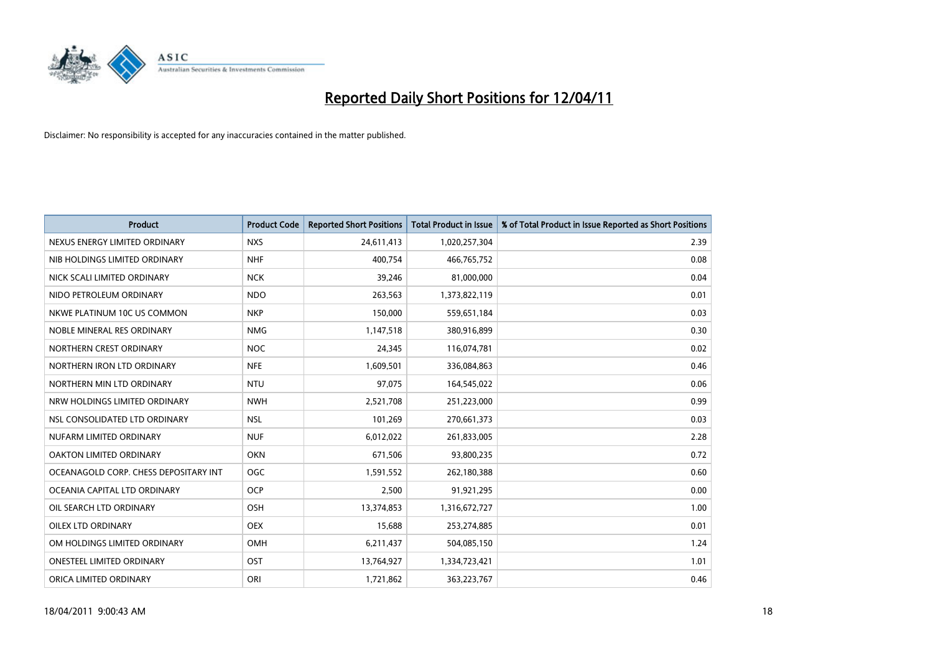

| <b>Product</b>                        | <b>Product Code</b> | <b>Reported Short Positions</b> | <b>Total Product in Issue</b> | % of Total Product in Issue Reported as Short Positions |
|---------------------------------------|---------------------|---------------------------------|-------------------------------|---------------------------------------------------------|
| NEXUS ENERGY LIMITED ORDINARY         | <b>NXS</b>          | 24,611,413                      | 1,020,257,304                 | 2.39                                                    |
| NIB HOLDINGS LIMITED ORDINARY         | <b>NHF</b>          | 400.754                         | 466,765,752                   | 0.08                                                    |
| NICK SCALI LIMITED ORDINARY           | <b>NCK</b>          | 39,246                          | 81,000,000                    | 0.04                                                    |
| NIDO PETROLEUM ORDINARY               | <b>NDO</b>          | 263,563                         | 1,373,822,119                 | 0.01                                                    |
| NKWE PLATINUM 10C US COMMON           | <b>NKP</b>          | 150,000                         | 559,651,184                   | 0.03                                                    |
| NOBLE MINERAL RES ORDINARY            | <b>NMG</b>          | 1,147,518                       | 380,916,899                   | 0.30                                                    |
| NORTHERN CREST ORDINARY               | <b>NOC</b>          | 24,345                          | 116,074,781                   | 0.02                                                    |
| NORTHERN IRON LTD ORDINARY            | <b>NFE</b>          | 1,609,501                       | 336,084,863                   | 0.46                                                    |
| NORTHERN MIN LTD ORDINARY             | <b>NTU</b>          | 97,075                          | 164,545,022                   | 0.06                                                    |
| NRW HOLDINGS LIMITED ORDINARY         | <b>NWH</b>          | 2,521,708                       | 251,223,000                   | 0.99                                                    |
| NSL CONSOLIDATED LTD ORDINARY         | <b>NSL</b>          | 101,269                         | 270,661,373                   | 0.03                                                    |
| NUFARM LIMITED ORDINARY               | <b>NUF</b>          | 6,012,022                       | 261,833,005                   | 2.28                                                    |
| OAKTON LIMITED ORDINARY               | <b>OKN</b>          | 671,506                         | 93,800,235                    | 0.72                                                    |
| OCEANAGOLD CORP. CHESS DEPOSITARY INT | <b>OGC</b>          | 1,591,552                       | 262,180,388                   | 0.60                                                    |
| OCEANIA CAPITAL LTD ORDINARY          | <b>OCP</b>          | 2,500                           | 91,921,295                    | 0.00                                                    |
| OIL SEARCH LTD ORDINARY               | OSH                 | 13,374,853                      | 1,316,672,727                 | 1.00                                                    |
| <b>OILEX LTD ORDINARY</b>             | <b>OEX</b>          | 15,688                          | 253,274,885                   | 0.01                                                    |
| OM HOLDINGS LIMITED ORDINARY          | OMH                 | 6,211,437                       | 504,085,150                   | 1.24                                                    |
| <b>ONESTEEL LIMITED ORDINARY</b>      | OST                 | 13,764,927                      | 1,334,723,421                 | 1.01                                                    |
| ORICA LIMITED ORDINARY                | ORI                 | 1,721,862                       | 363,223,767                   | 0.46                                                    |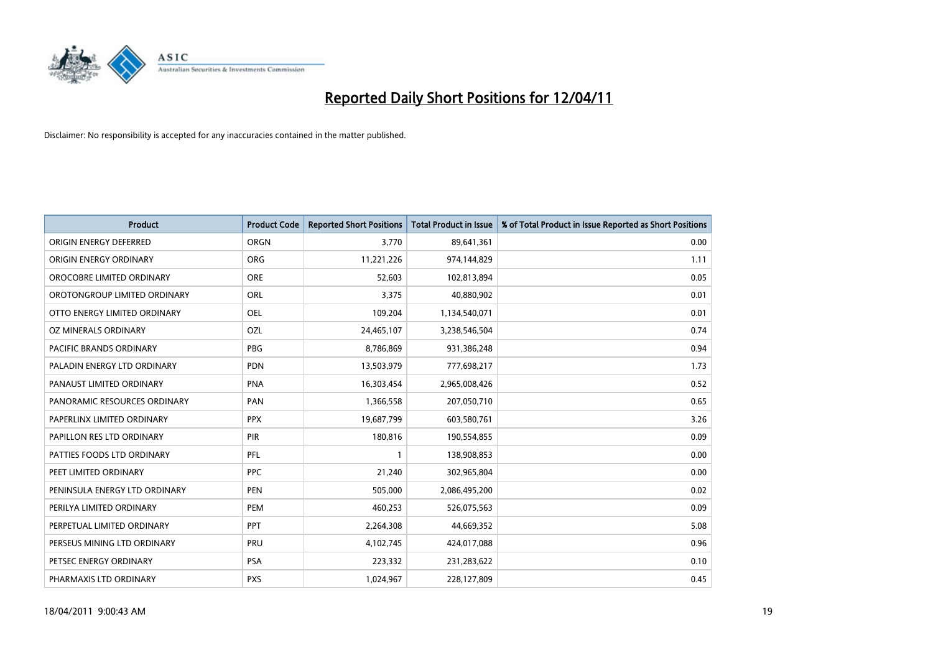

| Product                        | <b>Product Code</b> | <b>Reported Short Positions</b> | <b>Total Product in Issue</b> | % of Total Product in Issue Reported as Short Positions |
|--------------------------------|---------------------|---------------------------------|-------------------------------|---------------------------------------------------------|
| ORIGIN ENERGY DEFERRED         | ORGN                | 3,770                           | 89,641,361                    | 0.00                                                    |
| ORIGIN ENERGY ORDINARY         | <b>ORG</b>          | 11,221,226                      | 974,144,829                   | 1.11                                                    |
| OROCOBRE LIMITED ORDINARY      | <b>ORE</b>          | 52,603                          | 102,813,894                   | 0.05                                                    |
| OROTONGROUP LIMITED ORDINARY   | ORL                 | 3,375                           | 40,880,902                    | 0.01                                                    |
| OTTO ENERGY LIMITED ORDINARY   | <b>OEL</b>          | 109,204                         | 1,134,540,071                 | 0.01                                                    |
| OZ MINERALS ORDINARY           | OZL                 | 24,465,107                      | 3,238,546,504                 | 0.74                                                    |
| <b>PACIFIC BRANDS ORDINARY</b> | <b>PBG</b>          | 8,786,869                       | 931,386,248                   | 0.94                                                    |
| PALADIN ENERGY LTD ORDINARY    | <b>PDN</b>          | 13,503,979                      | 777,698,217                   | 1.73                                                    |
| PANAUST LIMITED ORDINARY       | <b>PNA</b>          | 16,303,454                      | 2,965,008,426                 | 0.52                                                    |
| PANORAMIC RESOURCES ORDINARY   | PAN                 | 1,366,558                       | 207,050,710                   | 0.65                                                    |
| PAPERLINX LIMITED ORDINARY     | <b>PPX</b>          | 19,687,799                      | 603,580,761                   | 3.26                                                    |
| PAPILLON RES LTD ORDINARY      | PIR                 | 180,816                         | 190,554,855                   | 0.09                                                    |
| PATTIES FOODS LTD ORDINARY     | PFL                 |                                 | 138,908,853                   | 0.00                                                    |
| PEET LIMITED ORDINARY          | <b>PPC</b>          | 21,240                          | 302,965,804                   | 0.00                                                    |
| PENINSULA ENERGY LTD ORDINARY  | <b>PEN</b>          | 505,000                         | 2,086,495,200                 | 0.02                                                    |
| PERILYA LIMITED ORDINARY       | PEM                 | 460,253                         | 526,075,563                   | 0.09                                                    |
| PERPETUAL LIMITED ORDINARY     | PPT                 | 2,264,308                       | 44,669,352                    | 5.08                                                    |
| PERSEUS MINING LTD ORDINARY    | PRU                 | 4,102,745                       | 424,017,088                   | 0.96                                                    |
| PETSEC ENERGY ORDINARY         | <b>PSA</b>          | 223,332                         | 231,283,622                   | 0.10                                                    |
| PHARMAXIS LTD ORDINARY         | <b>PXS</b>          | 1,024,967                       | 228,127,809                   | 0.45                                                    |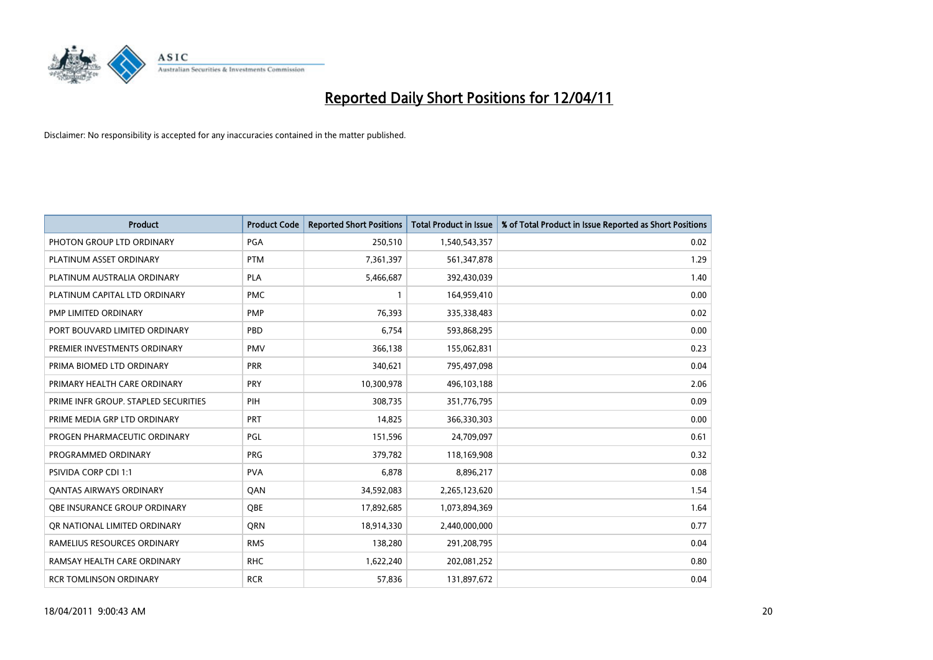

| Product                              | <b>Product Code</b> | <b>Reported Short Positions</b> | <b>Total Product in Issue</b> | % of Total Product in Issue Reported as Short Positions |
|--------------------------------------|---------------------|---------------------------------|-------------------------------|---------------------------------------------------------|
| PHOTON GROUP LTD ORDINARY            | PGA                 | 250,510                         | 1,540,543,357                 | 0.02                                                    |
| PLATINUM ASSET ORDINARY              | <b>PTM</b>          | 7,361,397                       | 561,347,878                   | 1.29                                                    |
| PLATINUM AUSTRALIA ORDINARY          | <b>PLA</b>          | 5,466,687                       | 392,430,039                   | 1.40                                                    |
| PLATINUM CAPITAL LTD ORDINARY        | <b>PMC</b>          |                                 | 164,959,410                   | 0.00                                                    |
| PMP LIMITED ORDINARY                 | <b>PMP</b>          | 76,393                          | 335,338,483                   | 0.02                                                    |
| PORT BOUVARD LIMITED ORDINARY        | PBD                 | 6,754                           | 593,868,295                   | 0.00                                                    |
| PREMIER INVESTMENTS ORDINARY         | <b>PMV</b>          | 366,138                         | 155,062,831                   | 0.23                                                    |
| PRIMA BIOMED LTD ORDINARY            | <b>PRR</b>          | 340,621                         | 795,497,098                   | 0.04                                                    |
| PRIMARY HEALTH CARE ORDINARY         | <b>PRY</b>          | 10,300,978                      | 496,103,188                   | 2.06                                                    |
| PRIME INFR GROUP. STAPLED SECURITIES | PIH                 | 308,735                         | 351,776,795                   | 0.09                                                    |
| PRIME MEDIA GRP LTD ORDINARY         | <b>PRT</b>          | 14,825                          | 366,330,303                   | 0.00                                                    |
| PROGEN PHARMACEUTIC ORDINARY         | PGL                 | 151,596                         | 24,709,097                    | 0.61                                                    |
| PROGRAMMED ORDINARY                  | <b>PRG</b>          | 379,782                         | 118,169,908                   | 0.32                                                    |
| <b>PSIVIDA CORP CDI 1:1</b>          | <b>PVA</b>          | 6,878                           | 8,896,217                     | 0.08                                                    |
| <b>QANTAS AIRWAYS ORDINARY</b>       | QAN                 | 34,592,083                      | 2,265,123,620                 | 1.54                                                    |
| OBE INSURANCE GROUP ORDINARY         | <b>OBE</b>          | 17,892,685                      | 1,073,894,369                 | 1.64                                                    |
| OR NATIONAL LIMITED ORDINARY         | <b>ORN</b>          | 18,914,330                      | 2,440,000,000                 | 0.77                                                    |
| RAMELIUS RESOURCES ORDINARY          | <b>RMS</b>          | 138,280                         | 291,208,795                   | 0.04                                                    |
| RAMSAY HEALTH CARE ORDINARY          | <b>RHC</b>          | 1,622,240                       | 202,081,252                   | 0.80                                                    |
| <b>RCR TOMLINSON ORDINARY</b>        | <b>RCR</b>          | 57,836                          | 131,897,672                   | 0.04                                                    |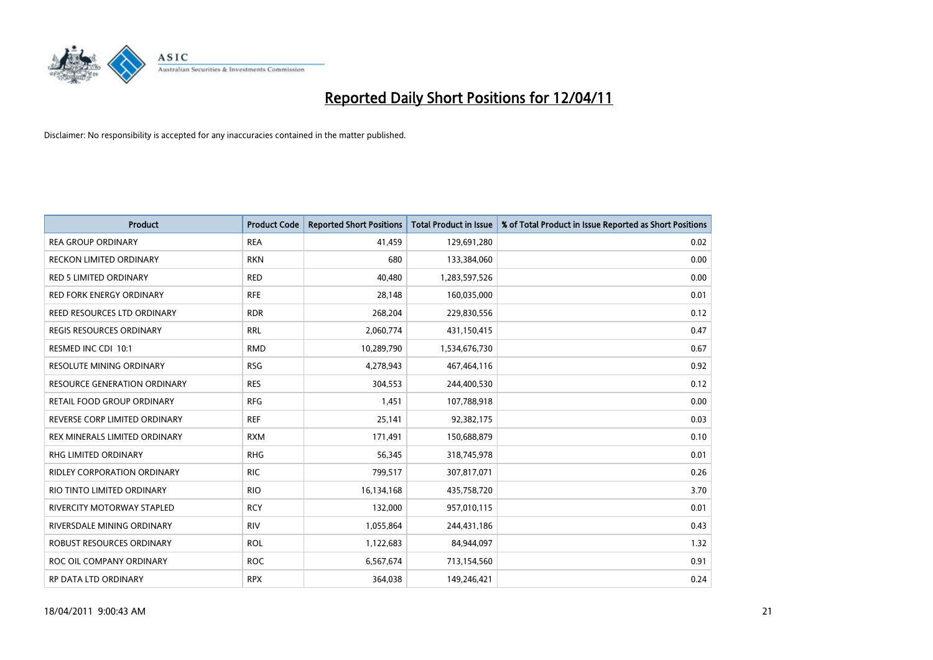

| <b>Product</b>                     | <b>Product Code</b> | <b>Reported Short Positions</b> | <b>Total Product in Issue</b> | % of Total Product in Issue Reported as Short Positions |
|------------------------------------|---------------------|---------------------------------|-------------------------------|---------------------------------------------------------|
| <b>REA GROUP ORDINARY</b>          | <b>REA</b>          | 41,459                          | 129,691,280                   | 0.02                                                    |
| RECKON LIMITED ORDINARY            | <b>RKN</b>          | 680                             | 133,384,060                   | 0.00                                                    |
| <b>RED 5 LIMITED ORDINARY</b>      | <b>RED</b>          | 40,480                          | 1,283,597,526                 | 0.00                                                    |
| RED FORK ENERGY ORDINARY           | <b>RFE</b>          | 28,148                          | 160,035,000                   | 0.01                                                    |
| REED RESOURCES LTD ORDINARY        | <b>RDR</b>          | 268,204                         | 229,830,556                   | 0.12                                                    |
| <b>REGIS RESOURCES ORDINARY</b>    | <b>RRL</b>          | 2,060,774                       | 431,150,415                   | 0.47                                                    |
| RESMED INC CDI 10:1                | <b>RMD</b>          | 10,289,790                      | 1,534,676,730                 | 0.67                                                    |
| <b>RESOLUTE MINING ORDINARY</b>    | <b>RSG</b>          | 4,278,943                       | 467,464,116                   | 0.92                                                    |
| RESOURCE GENERATION ORDINARY       | <b>RES</b>          | 304,553                         | 244,400,530                   | 0.12                                                    |
| RETAIL FOOD GROUP ORDINARY         | <b>RFG</b>          | 1,451                           | 107,788,918                   | 0.00                                                    |
| REVERSE CORP LIMITED ORDINARY      | <b>REF</b>          | 25,141                          | 92,382,175                    | 0.03                                                    |
| REX MINERALS LIMITED ORDINARY      | <b>RXM</b>          | 171,491                         | 150,688,879                   | 0.10                                                    |
| <b>RHG LIMITED ORDINARY</b>        | <b>RHG</b>          | 56,345                          | 318,745,978                   | 0.01                                                    |
| <b>RIDLEY CORPORATION ORDINARY</b> | <b>RIC</b>          | 799,517                         | 307,817,071                   | 0.26                                                    |
| RIO TINTO LIMITED ORDINARY         | <b>RIO</b>          | 16,134,168                      | 435,758,720                   | 3.70                                                    |
| <b>RIVERCITY MOTORWAY STAPLED</b>  | <b>RCY</b>          | 132,000                         | 957,010,115                   | 0.01                                                    |
| RIVERSDALE MINING ORDINARY         | <b>RIV</b>          | 1,055,864                       | 244,431,186                   | 0.43                                                    |
| ROBUST RESOURCES ORDINARY          | <b>ROL</b>          | 1,122,683                       | 84,944,097                    | 1.32                                                    |
| ROC OIL COMPANY ORDINARY           | <b>ROC</b>          | 6,567,674                       | 713,154,560                   | 0.91                                                    |
| RP DATA LTD ORDINARY               | <b>RPX</b>          | 364,038                         | 149,246,421                   | 0.24                                                    |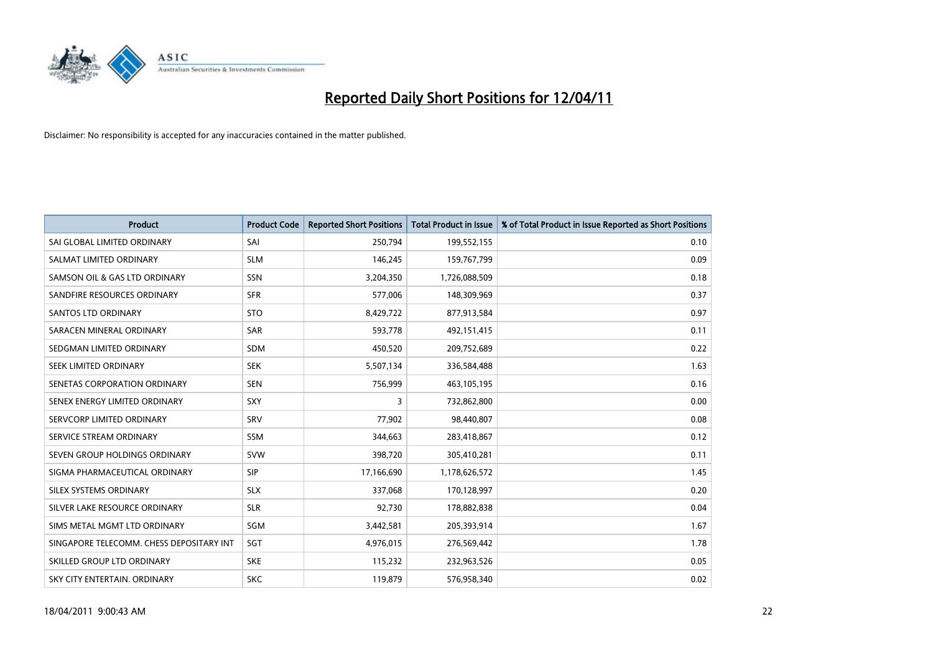

| <b>Product</b>                           | <b>Product Code</b> | <b>Reported Short Positions</b> | Total Product in Issue | % of Total Product in Issue Reported as Short Positions |
|------------------------------------------|---------------------|---------------------------------|------------------------|---------------------------------------------------------|
| SAI GLOBAL LIMITED ORDINARY              | SAI                 | 250,794                         | 199,552,155            | 0.10                                                    |
| SALMAT LIMITED ORDINARY                  | <b>SLM</b>          | 146,245                         | 159,767,799            | 0.09                                                    |
| SAMSON OIL & GAS LTD ORDINARY            | SSN                 | 3,204,350                       | 1,726,088,509          | 0.18                                                    |
| SANDFIRE RESOURCES ORDINARY              | <b>SFR</b>          | 577,006                         | 148,309,969            | 0.37                                                    |
| <b>SANTOS LTD ORDINARY</b>               | <b>STO</b>          | 8,429,722                       | 877,913,584            | 0.97                                                    |
| SARACEN MINERAL ORDINARY                 | <b>SAR</b>          | 593,778                         | 492,151,415            | 0.11                                                    |
| SEDGMAN LIMITED ORDINARY                 | <b>SDM</b>          | 450,520                         | 209,752,689            | 0.22                                                    |
| SEEK LIMITED ORDINARY                    | <b>SEK</b>          | 5,507,134                       | 336,584,488            | 1.63                                                    |
| SENETAS CORPORATION ORDINARY             | SEN                 | 756,999                         | 463,105,195            | 0.16                                                    |
| SENEX ENERGY LIMITED ORDINARY            | <b>SXY</b>          | 3                               | 732,862,800            | 0.00                                                    |
| SERVCORP LIMITED ORDINARY                | SRV                 | 77,902                          | 98,440,807             | 0.08                                                    |
| SERVICE STREAM ORDINARY                  | <b>SSM</b>          | 344,663                         | 283,418,867            | 0.12                                                    |
| SEVEN GROUP HOLDINGS ORDINARY            | <b>SVW</b>          | 398,720                         | 305,410,281            | 0.11                                                    |
| SIGMA PHARMACEUTICAL ORDINARY            | <b>SIP</b>          | 17,166,690                      | 1,178,626,572          | 1.45                                                    |
| SILEX SYSTEMS ORDINARY                   | <b>SLX</b>          | 337,068                         | 170,128,997            | 0.20                                                    |
| SILVER LAKE RESOURCE ORDINARY            | <b>SLR</b>          | 92,730                          | 178,882,838            | 0.04                                                    |
| SIMS METAL MGMT LTD ORDINARY             | SGM                 | 3,442,581                       | 205,393,914            | 1.67                                                    |
| SINGAPORE TELECOMM. CHESS DEPOSITARY INT | SGT                 | 4,976,015                       | 276,569,442            | 1.78                                                    |
| SKILLED GROUP LTD ORDINARY               | <b>SKE</b>          | 115,232                         | 232,963,526            | 0.05                                                    |
| SKY CITY ENTERTAIN. ORDINARY             | <b>SKC</b>          | 119,879                         | 576,958,340            | 0.02                                                    |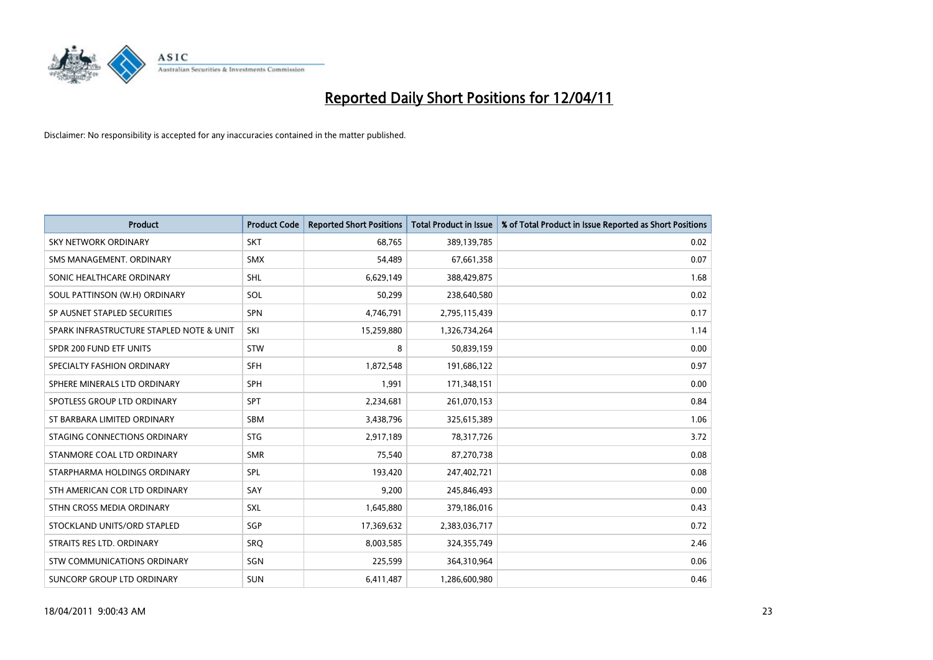

| <b>Product</b>                           | <b>Product Code</b> | <b>Reported Short Positions</b> | <b>Total Product in Issue</b> | % of Total Product in Issue Reported as Short Positions |
|------------------------------------------|---------------------|---------------------------------|-------------------------------|---------------------------------------------------------|
| SKY NETWORK ORDINARY                     | <b>SKT</b>          | 68,765                          | 389,139,785                   | 0.02                                                    |
| SMS MANAGEMENT, ORDINARY                 | <b>SMX</b>          | 54,489                          | 67,661,358                    | 0.07                                                    |
| SONIC HEALTHCARE ORDINARY                | <b>SHL</b>          | 6,629,149                       | 388,429,875                   | 1.68                                                    |
| SOUL PATTINSON (W.H) ORDINARY            | SOL                 | 50,299                          | 238,640,580                   | 0.02                                                    |
| SP AUSNET STAPLED SECURITIES             | SPN                 | 4,746,791                       | 2,795,115,439                 | 0.17                                                    |
| SPARK INFRASTRUCTURE STAPLED NOTE & UNIT | SKI                 | 15,259,880                      | 1,326,734,264                 | 1.14                                                    |
| SPDR 200 FUND ETF UNITS                  | <b>STW</b>          | 8                               | 50,839,159                    | 0.00                                                    |
| SPECIALTY FASHION ORDINARY               | <b>SFH</b>          | 1,872,548                       | 191,686,122                   | 0.97                                                    |
| SPHERE MINERALS LTD ORDINARY             | <b>SPH</b>          | 1,991                           | 171,348,151                   | 0.00                                                    |
| SPOTLESS GROUP LTD ORDINARY              | <b>SPT</b>          | 2,234,681                       | 261,070,153                   | 0.84                                                    |
| ST BARBARA LIMITED ORDINARY              | <b>SBM</b>          | 3,438,796                       | 325,615,389                   | 1.06                                                    |
| STAGING CONNECTIONS ORDINARY             | <b>STG</b>          | 2,917,189                       | 78,317,726                    | 3.72                                                    |
| STANMORE COAL LTD ORDINARY               | <b>SMR</b>          | 75.540                          | 87,270,738                    | 0.08                                                    |
| STARPHARMA HOLDINGS ORDINARY             | SPL                 | 193,420                         | 247,402,721                   | 0.08                                                    |
| STH AMERICAN COR LTD ORDINARY            | SAY                 | 9,200                           | 245,846,493                   | 0.00                                                    |
| STHN CROSS MEDIA ORDINARY                | <b>SXL</b>          | 1,645,880                       | 379,186,016                   | 0.43                                                    |
| STOCKLAND UNITS/ORD STAPLED              | SGP                 | 17,369,632                      | 2,383,036,717                 | 0.72                                                    |
| STRAITS RES LTD. ORDINARY                | SRO                 | 8,003,585                       | 324,355,749                   | 2.46                                                    |
| STW COMMUNICATIONS ORDINARY              | SGN                 | 225,599                         | 364,310,964                   | 0.06                                                    |
| SUNCORP GROUP LTD ORDINARY               | <b>SUN</b>          | 6,411,487                       | 1,286,600,980                 | 0.46                                                    |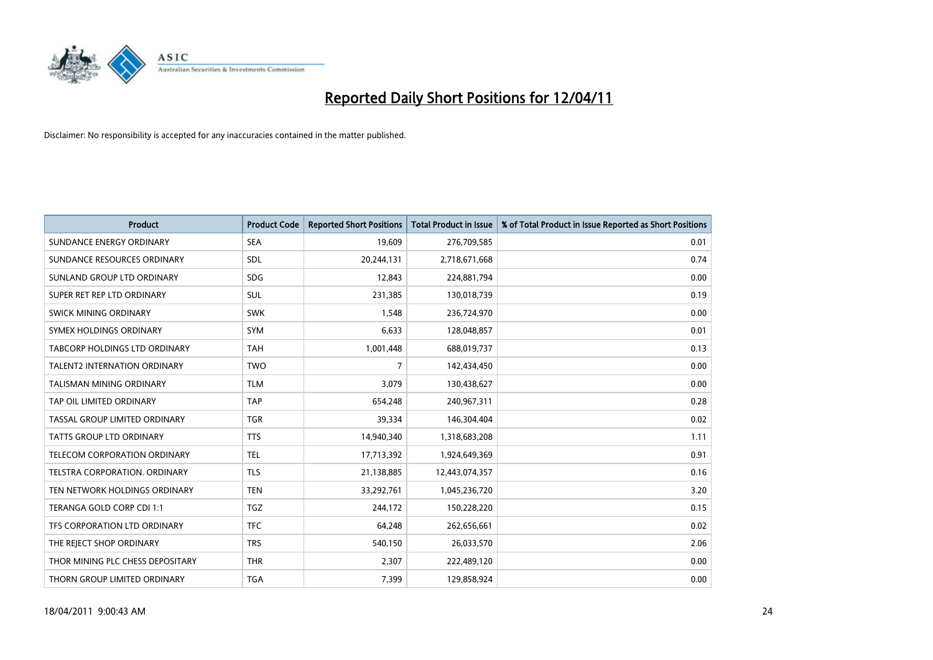

| <b>Product</b>                      | <b>Product Code</b> | <b>Reported Short Positions</b> | <b>Total Product in Issue</b> | % of Total Product in Issue Reported as Short Positions |
|-------------------------------------|---------------------|---------------------------------|-------------------------------|---------------------------------------------------------|
| SUNDANCE ENERGY ORDINARY            | <b>SEA</b>          | 19,609                          | 276,709,585                   | 0.01                                                    |
| SUNDANCE RESOURCES ORDINARY         | SDL                 | 20,244,131                      | 2,718,671,668                 | 0.74                                                    |
| SUNLAND GROUP LTD ORDINARY          | <b>SDG</b>          | 12,843                          | 224,881,794                   | 0.00                                                    |
| SUPER RET REP LTD ORDINARY          | SUL                 | 231,385                         | 130,018,739                   | 0.19                                                    |
| SWICK MINING ORDINARY               | <b>SWK</b>          | 1,548                           | 236,724,970                   | 0.00                                                    |
| SYMEX HOLDINGS ORDINARY             | <b>SYM</b>          | 6,633                           | 128,048,857                   | 0.01                                                    |
| TABCORP HOLDINGS LTD ORDINARY       | <b>TAH</b>          | 1,001,448                       | 688,019,737                   | 0.13                                                    |
| <b>TALENT2 INTERNATION ORDINARY</b> | <b>TWO</b>          | $\overline{7}$                  | 142,434,450                   | 0.00                                                    |
| <b>TALISMAN MINING ORDINARY</b>     | <b>TLM</b>          | 3,079                           | 130,438,627                   | 0.00                                                    |
| TAP OIL LIMITED ORDINARY            | <b>TAP</b>          | 654,248                         | 240,967,311                   | 0.28                                                    |
| TASSAL GROUP LIMITED ORDINARY       | <b>TGR</b>          | 39,334                          | 146,304,404                   | 0.02                                                    |
| <b>TATTS GROUP LTD ORDINARY</b>     | <b>TTS</b>          | 14,940,340                      | 1,318,683,208                 | 1.11                                                    |
| <b>TELECOM CORPORATION ORDINARY</b> | <b>TEL</b>          | 17,713,392                      | 1,924,649,369                 | 0.91                                                    |
| TELSTRA CORPORATION, ORDINARY       | <b>TLS</b>          | 21,138,885                      | 12,443,074,357                | 0.16                                                    |
| TEN NETWORK HOLDINGS ORDINARY       | <b>TEN</b>          | 33,292,761                      | 1,045,236,720                 | 3.20                                                    |
| TERANGA GOLD CORP CDI 1:1           | <b>TGZ</b>          | 244,172                         | 150,228,220                   | 0.15                                                    |
| TFS CORPORATION LTD ORDINARY        | <b>TFC</b>          | 64,248                          | 262,656,661                   | 0.02                                                    |
| THE REJECT SHOP ORDINARY            | <b>TRS</b>          | 540,150                         | 26,033,570                    | 2.06                                                    |
| THOR MINING PLC CHESS DEPOSITARY    | <b>THR</b>          | 2,307                           | 222,489,120                   | 0.00                                                    |
| THORN GROUP LIMITED ORDINARY        | <b>TGA</b>          | 7,399                           | 129,858,924                   | 0.00                                                    |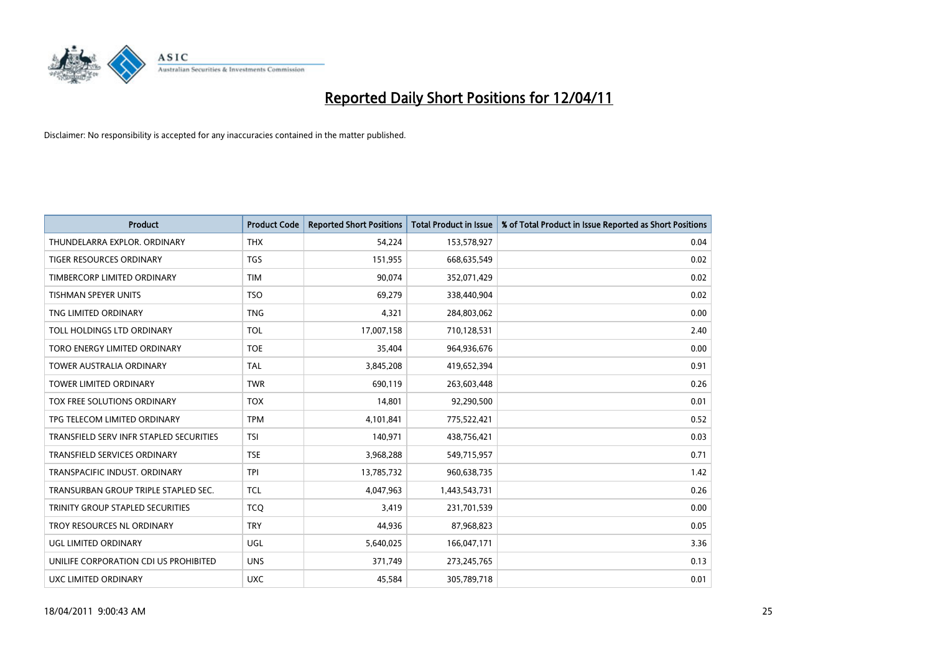

| <b>Product</b>                          | <b>Product Code</b> | <b>Reported Short Positions</b> | Total Product in Issue | % of Total Product in Issue Reported as Short Positions |
|-----------------------------------------|---------------------|---------------------------------|------------------------|---------------------------------------------------------|
| THUNDELARRA EXPLOR. ORDINARY            | <b>THX</b>          | 54,224                          | 153,578,927            | 0.04                                                    |
| TIGER RESOURCES ORDINARY                | <b>TGS</b>          | 151,955                         | 668,635,549            | 0.02                                                    |
| TIMBERCORP LIMITED ORDINARY             | <b>TIM</b>          | 90,074                          | 352,071,429            | 0.02                                                    |
| TISHMAN SPEYER UNITS                    | <b>TSO</b>          | 69,279                          | 338,440,904            | 0.02                                                    |
| TNG LIMITED ORDINARY                    | <b>TNG</b>          | 4,321                           | 284,803,062            | 0.00                                                    |
| TOLL HOLDINGS LTD ORDINARY              | <b>TOL</b>          | 17,007,158                      | 710,128,531            | 2.40                                                    |
| TORO ENERGY LIMITED ORDINARY            | <b>TOE</b>          | 35,404                          | 964,936,676            | 0.00                                                    |
| <b>TOWER AUSTRALIA ORDINARY</b>         | <b>TAL</b>          | 3,845,208                       | 419,652,394            | 0.91                                                    |
| TOWER LIMITED ORDINARY                  | <b>TWR</b>          | 690,119                         | 263,603,448            | 0.26                                                    |
| TOX FREE SOLUTIONS ORDINARY             | <b>TOX</b>          | 14,801                          | 92,290,500             | 0.01                                                    |
| TPG TELECOM LIMITED ORDINARY            | <b>TPM</b>          | 4,101,841                       | 775,522,421            | 0.52                                                    |
| TRANSFIELD SERV INFR STAPLED SECURITIES | <b>TSI</b>          | 140,971                         | 438,756,421            | 0.03                                                    |
| <b>TRANSFIELD SERVICES ORDINARY</b>     | <b>TSE</b>          | 3,968,288                       | 549,715,957            | 0.71                                                    |
| TRANSPACIFIC INDUST, ORDINARY           | <b>TPI</b>          | 13,785,732                      | 960,638,735            | 1.42                                                    |
| TRANSURBAN GROUP TRIPLE STAPLED SEC.    | <b>TCL</b>          | 4,047,963                       | 1,443,543,731          | 0.26                                                    |
| TRINITY GROUP STAPLED SECURITIES        | <b>TCO</b>          | 3.419                           | 231,701,539            | 0.00                                                    |
| TROY RESOURCES NL ORDINARY              | <b>TRY</b>          | 44.936                          | 87,968,823             | 0.05                                                    |
| UGL LIMITED ORDINARY                    | <b>UGL</b>          | 5,640,025                       | 166,047,171            | 3.36                                                    |
| UNILIFE CORPORATION CDI US PROHIBITED   | <b>UNS</b>          | 371,749                         | 273,245,765            | 0.13                                                    |
| UXC LIMITED ORDINARY                    | <b>UXC</b>          | 45,584                          | 305,789,718            | 0.01                                                    |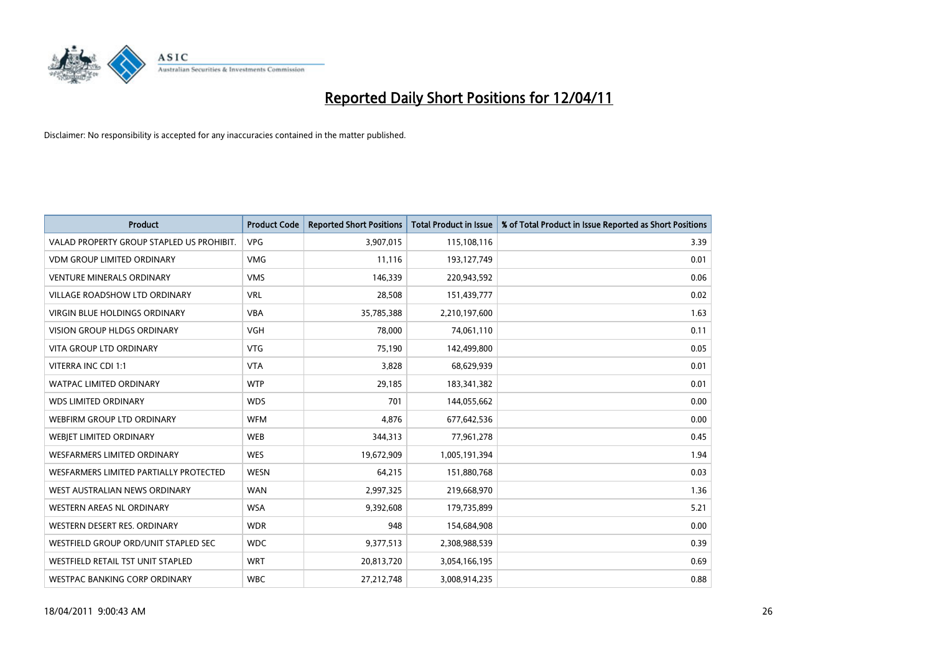

| <b>Product</b>                            | <b>Product Code</b> | <b>Reported Short Positions</b> | <b>Total Product in Issue</b> | % of Total Product in Issue Reported as Short Positions |
|-------------------------------------------|---------------------|---------------------------------|-------------------------------|---------------------------------------------------------|
| VALAD PROPERTY GROUP STAPLED US PROHIBIT. | <b>VPG</b>          | 3,907,015                       | 115,108,116                   | 3.39                                                    |
| <b>VDM GROUP LIMITED ORDINARY</b>         | <b>VMG</b>          | 11,116                          | 193,127,749                   | 0.01                                                    |
| <b>VENTURE MINERALS ORDINARY</b>          | <b>VMS</b>          | 146,339                         | 220,943,592                   | 0.06                                                    |
| VILLAGE ROADSHOW LTD ORDINARY             | <b>VRL</b>          | 28,508                          | 151,439,777                   | 0.02                                                    |
| <b>VIRGIN BLUE HOLDINGS ORDINARY</b>      | <b>VBA</b>          | 35,785,388                      | 2,210,197,600                 | 1.63                                                    |
| <b>VISION GROUP HLDGS ORDINARY</b>        | <b>VGH</b>          | 78,000                          | 74,061,110                    | 0.11                                                    |
| <b>VITA GROUP LTD ORDINARY</b>            | <b>VTG</b>          | 75,190                          | 142,499,800                   | 0.05                                                    |
| VITERRA INC CDI 1:1                       | <b>VTA</b>          | 3,828                           | 68,629,939                    | 0.01                                                    |
| WATPAC LIMITED ORDINARY                   | <b>WTP</b>          | 29,185                          | 183,341,382                   | 0.01                                                    |
| <b>WDS LIMITED ORDINARY</b>               | <b>WDS</b>          | 701                             | 144,055,662                   | 0.00                                                    |
| WEBFIRM GROUP LTD ORDINARY                | <b>WFM</b>          | 4,876                           | 677,642,536                   | 0.00                                                    |
| <b>WEBIET LIMITED ORDINARY</b>            | <b>WEB</b>          | 344,313                         | 77,961,278                    | 0.45                                                    |
| <b>WESFARMERS LIMITED ORDINARY</b>        | <b>WES</b>          | 19,672,909                      | 1,005,191,394                 | 1.94                                                    |
| WESFARMERS LIMITED PARTIALLY PROTECTED    | <b>WESN</b>         | 64,215                          | 151,880,768                   | 0.03                                                    |
| WEST AUSTRALIAN NEWS ORDINARY             | <b>WAN</b>          | 2,997,325                       | 219,668,970                   | 1.36                                                    |
| <b>WESTERN AREAS NL ORDINARY</b>          | <b>WSA</b>          | 9,392,608                       | 179,735,899                   | 5.21                                                    |
| WESTERN DESERT RES. ORDINARY              | <b>WDR</b>          | 948                             | 154,684,908                   | 0.00                                                    |
| WESTFIELD GROUP ORD/UNIT STAPLED SEC      | <b>WDC</b>          | 9,377,513                       | 2,308,988,539                 | 0.39                                                    |
| WESTFIELD RETAIL TST UNIT STAPLED         | <b>WRT</b>          | 20,813,720                      | 3,054,166,195                 | 0.69                                                    |
| WESTPAC BANKING CORP ORDINARY             | <b>WBC</b>          | 27,212,748                      | 3,008,914,235                 | 0.88                                                    |